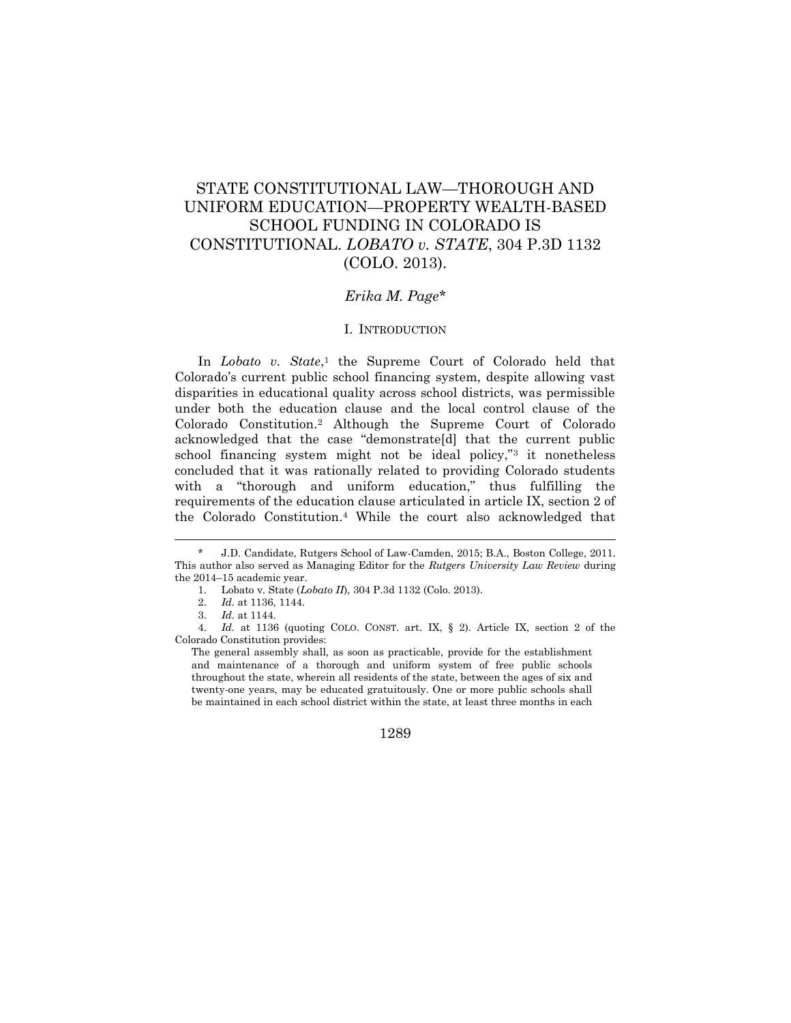# STATE CONSTITUTIONAL LAW—THOROUGH AND UNIFORM EDUCATION—PROPERTY WEALTH-BASED SCHOOL FUNDING IN COLORADO IS CONSTITUTIONAL. *LOBATO v. STATE*, 304 P.3D 1132 (COLO. 2013).

## *Erika M. Page\**

#### I. INTRODUCTION

In *Lobato v. State*,<sup>1</sup> the Supreme Court of Colorado held that Colorado's current public school financing system, despite allowing vast disparities in educational quality across school districts, was permissible under both the education clause and the local control clause of the Colorado Constitution.<sup>2</sup> Although the Supreme Court of Colorado acknowledged that the case "demonstrate[d] that the current public school financing system might not be ideal policy,"<sup>3</sup> it nonetheless concluded that it was rationally related to providing Colorado students with a "thorough and uniform education," thus fulfilling the requirements of the education clause articulated in article IX, section 2 of the Colorado Constitution.<sup>4</sup> While the court also acknowledged that

 $\overline{\phantom{a}}$ 

4. *Id.* at 1136 (quoting COLO. CONST. art. IX, § 2). Article IX, section 2 of the Colorado Constitution provides:

J.D. Candidate, Rutgers School of Law-Camden, 2015; B.A., Boston College, 2011. This author also served as Managing Editor for the *Rutgers University Law Review* during the 2014–15 academic year.

<sup>1.</sup> Lobato v. State (*Lobato II*), 304 P.3d 1132 (Colo. 2013).

<sup>2.</sup> *Id.* at 1136, 1144.

<sup>3.</sup> *Id.* at 1144.

The general assembly shall, as soon as practicable, provide for the establishment and maintenance of a thorough and uniform system of free public schools throughout the state, wherein all residents of the state, between the ages of six and twenty-one years, may be educated gratuitously. One or more public schools shall be maintained in each school district within the state, at least three months in each

<sup>1289</sup>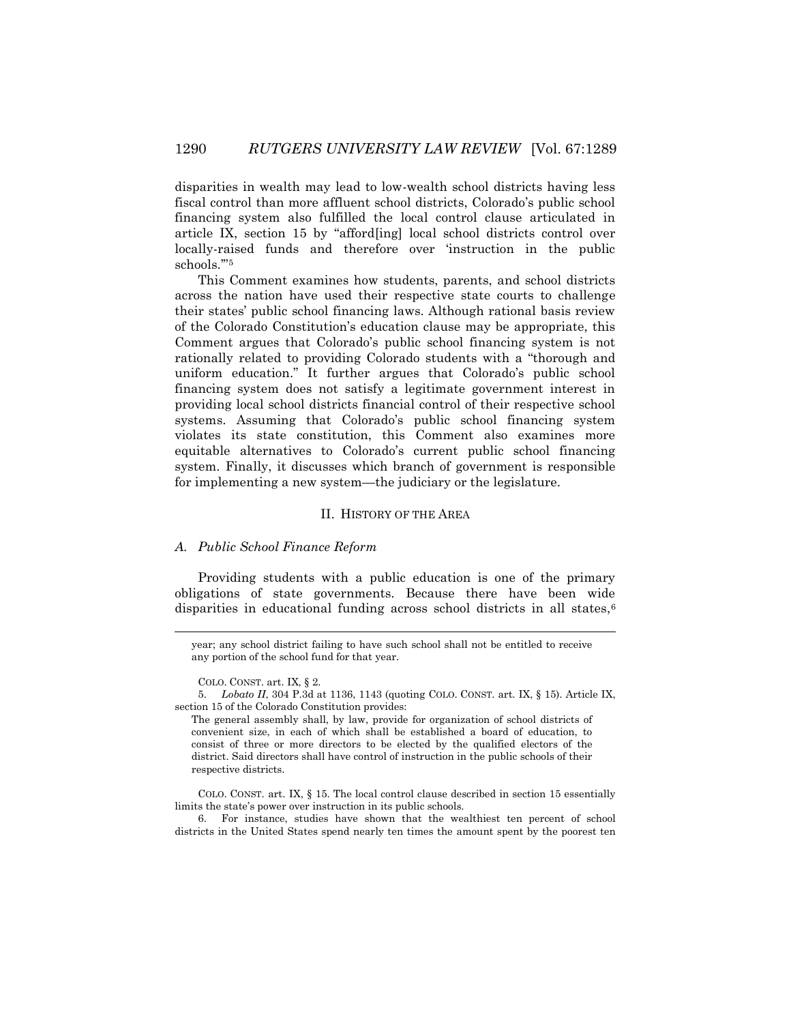disparities in wealth may lead to low-wealth school districts having less fiscal control than more affluent school districts, Colorado's public school financing system also fulfilled the local control clause articulated in article IX, section 15 by "afford[ing] local school districts control over locally-raised funds and therefore over 'instruction in the public schools.'"<sup>5</sup>

This Comment examines how students, parents, and school districts across the nation have used their respective state courts to challenge their states' public school financing laws. Although rational basis review of the Colorado Constitution's education clause may be appropriate, this Comment argues that Colorado's public school financing system is not rationally related to providing Colorado students with a "thorough and uniform education." It further argues that Colorado's public school financing system does not satisfy a legitimate government interest in providing local school districts financial control of their respective school systems. Assuming that Colorado's public school financing system violates its state constitution, this Comment also examines more equitable alternatives to Colorado's current public school financing system. Finally, it discusses which branch of government is responsible for implementing a new system—the judiciary or the legislature.

#### II. HISTORY OF THE AREA

## *A. Public School Finance Reform*

Providing students with a public education is one of the primary obligations of state governments. Because there have been wide disparities in educational funding across school districts in all states,<sup>6</sup>

 $\overline{\phantom{a}}$ 

6. For instance, studies have shown that the wealthiest ten percent of school districts in the United States spend nearly ten times the amount spent by the poorest ten

year; any school district failing to have such school shall not be entitled to receive any portion of the school fund for that year.

COLO. CONST. art. IX, § 2.

<sup>5.</sup> *Lobato II*, 304 P.3d at 1136, 1143 (quoting COLO. CONST. art. IX, § 15). Article IX, section 15 of the Colorado Constitution provides:

The general assembly shall, by law, provide for organization of school districts of convenient size, in each of which shall be established a board of education, to consist of three or more directors to be elected by the qualified electors of the district. Said directors shall have control of instruction in the public schools of their respective districts.

COLO. CONST. art. IX, § 15. The local control clause described in section 15 essentially limits the state's power over instruction in its public schools.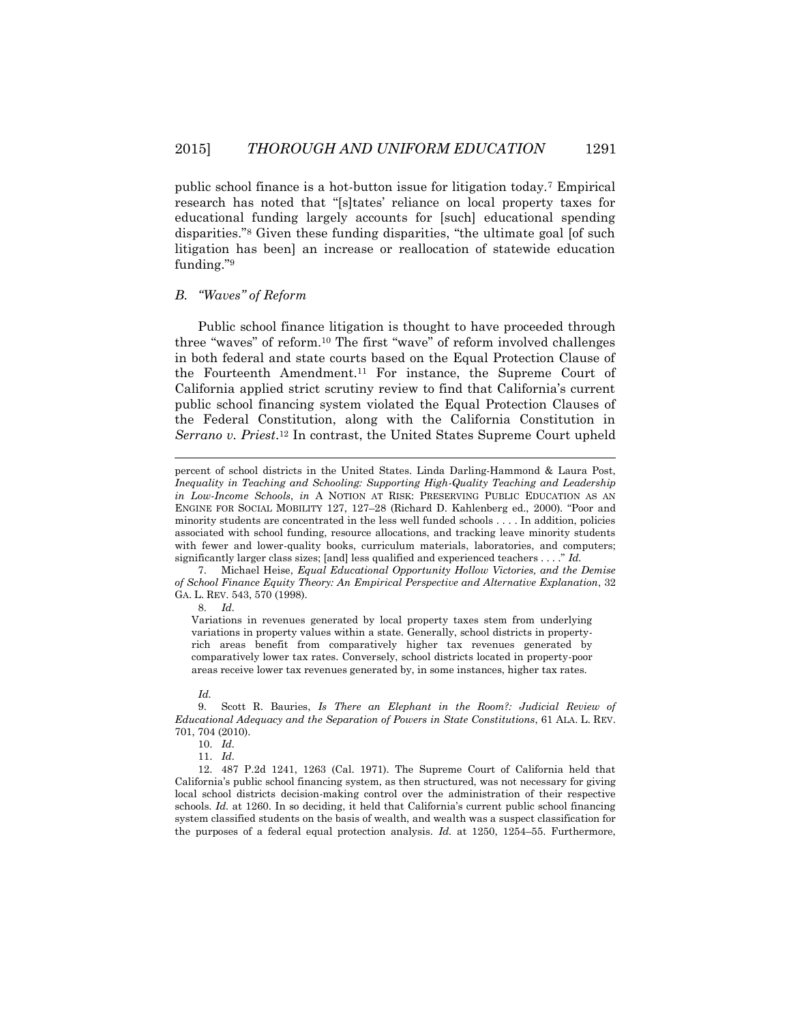public school finance is a hot-button issue for litigation today.<sup>7</sup> Empirical research has noted that "[s]tates' reliance on local property taxes for educational funding largely accounts for [such] educational spending disparities."<sup>8</sup> Given these funding disparities, "the ultimate goal [of such litigation has been] an increase or reallocation of statewide education funding."<sup>9</sup>

#### *B. "Waves" of Reform*

Public school finance litigation is thought to have proceeded through three "waves" of reform.<sup>10</sup> The first "wave" of reform involved challenges in both federal and state courts based on the Equal Protection Clause of the Fourteenth Amendment.<sup>11</sup> For instance, the Supreme Court of California applied strict scrutiny review to find that California's current public school financing system violated the Equal Protection Clauses of the Federal Constitution, along with the California Constitution in *Serrano v. Priest*. <sup>12</sup> In contrast, the United States Supreme Court upheld

8. *Id.* 

l

Variations in revenues generated by local property taxes stem from underlying variations in property values within a state. Generally, school districts in propertyrich areas benefit from comparatively higher tax revenues generated by comparatively lower tax rates. Conversely, school districts located in property-poor areas receive lower tax revenues generated by, in some instances, higher tax rates.

#### *Id.*

11. *Id.*

12. 487 P.2d 1241, 1263 (Cal. 1971). The Supreme Court of California held that California's public school financing system, as then structured, was not necessary for giving local school districts decision-making control over the administration of their respective schools. *Id.* at 1260. In so deciding, it held that California's current public school financing system classified students on the basis of wealth, and wealth was a suspect classification for the purposes of a federal equal protection analysis. *Id.* at 1250, 1254–55. Furthermore,

percent of school districts in the United States. Linda Darling-Hammond & Laura Post, *Inequality in Teaching and Schooling: Supporting High-Quality Teaching and Leadership in Low-Income Schools*, *in* A NOTION AT RISK: PRESERVING PUBLIC EDUCATION AS AN ENGINE FOR SOCIAL MOBILITY 127, 127–28 (Richard D. Kahlenberg ed., 2000). "Poor and minority students are concentrated in the less well funded schools . . . . In addition, policies associated with school funding, resource allocations, and tracking leave minority students with fewer and lower-quality books, curriculum materials, laboratories, and computers; significantly larger class sizes; [and] less qualified and experienced teachers . . . ." *Id.*

<sup>7.</sup> Michael Heise, *Equal Educational Opportunity Hollow Victories, and the Demise of School Finance Equity Theory: An Empirical Perspective and Alternative Explanation*, 32 GA. L. REV. 543, 570 (1998).

<sup>9.</sup> Scott R. Bauries, *Is There an Elephant in the Room?: Judicial Review of Educational Adequacy and the Separation of Powers in State Constitutions*, 61 ALA. L. REV. 701, 704 (2010).

<sup>10.</sup> *Id.*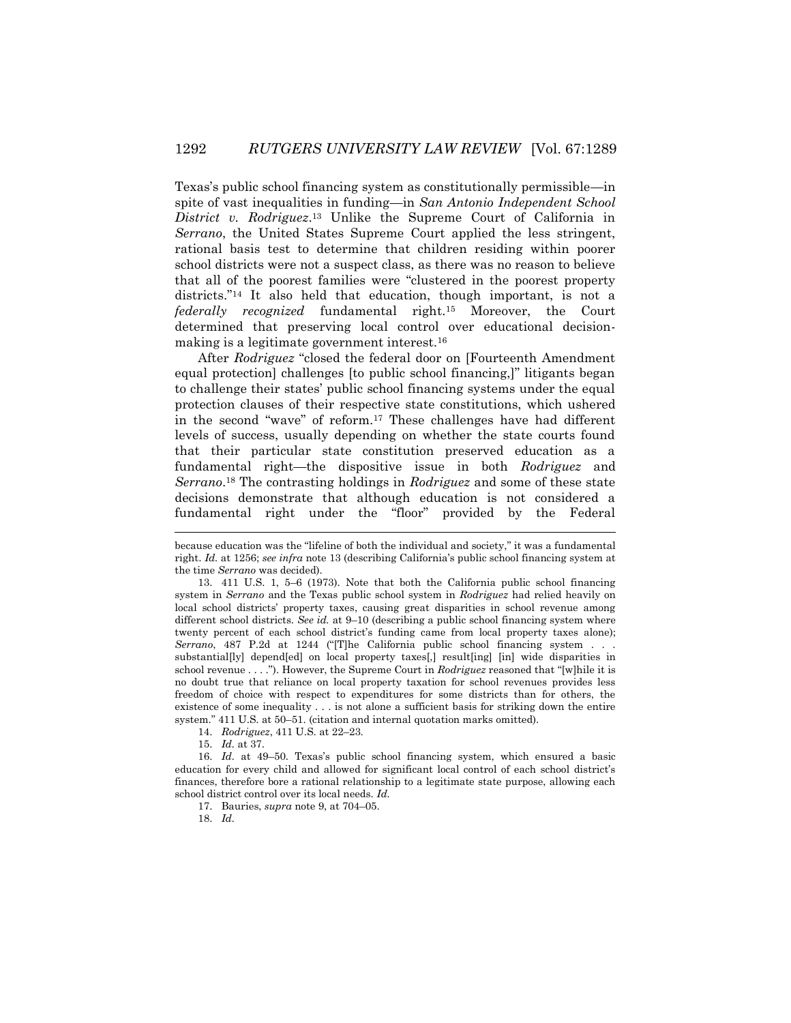Texas's public school financing system as constitutionally permissible—in spite of vast inequalities in funding—in *San Antonio Independent School District v. Rodriguez*. <sup>13</sup> Unlike the Supreme Court of California in *Serrano*, the United States Supreme Court applied the less stringent, rational basis test to determine that children residing within poorer school districts were not a suspect class, as there was no reason to believe that all of the poorest families were "clustered in the poorest property districts."<sup>14</sup> It also held that education, though important, is not a *federally recognized* fundamental right.<sup>15</sup> Moreover, the Court determined that preserving local control over educational decisionmaking is a legitimate government interest.<sup>16</sup>

After *Rodriguez* "closed the federal door on [Fourteenth Amendment equal protection] challenges [to public school financing,]" litigants began to challenge their states' public school financing systems under the equal protection clauses of their respective state constitutions, which ushered in the second "wave" of reform.<sup>17</sup> These challenges have had different levels of success, usually depending on whether the state courts found that their particular state constitution preserved education as a fundamental right—the dispositive issue in both *Rodriguez* and *Serrano*. <sup>18</sup> The contrasting holdings in *Rodriguez* and some of these state decisions demonstrate that although education is not considered a fundamental right under the "floor" provided by the Federal

14. *Rodriguez*, 411 U.S. at 22–23.

15. *Id.* at 37.

16. *Id.* at 49–50. Texas's public school financing system, which ensured a basic education for every child and allowed for significant local control of each school district's finances, therefore bore a rational relationship to a legitimate state purpose, allowing each school district control over its local needs. *Id.*

17. Bauries, *supra* note 9, at 704–05.

18. *Id.*

 $\overline{a}$ 

because education was the "lifeline of both the individual and society," it was a fundamental right. *Id.* at 1256; *see infra* note 13 (describing California's public school financing system at the time *Serrano* was decided).

<sup>13.</sup> 411 U.S. 1, 5–6 (1973). Note that both the California public school financing system in *Serrano* and the Texas public school system in *Rodriguez* had relied heavily on local school districts' property taxes, causing great disparities in school revenue among different school districts. *See id.* at 9–10 (describing a public school financing system where twenty percent of each school district's funding came from local property taxes alone); *Serrano*, 487 P.2d at 1244 ("[T]he California public school financing system . . . substantial[ly] depend[ed] on local property taxes[,] result[ing] [in] wide disparities in school revenue . . . ."). However, the Supreme Court in *Rodriguez* reasoned that "[w]hile it is no doubt true that reliance on local property taxation for school revenues provides less freedom of choice with respect to expenditures for some districts than for others, the existence of some inequality . . . is not alone a sufficient basis for striking down the entire system." 411 U.S. at 50–51. (citation and internal quotation marks omitted).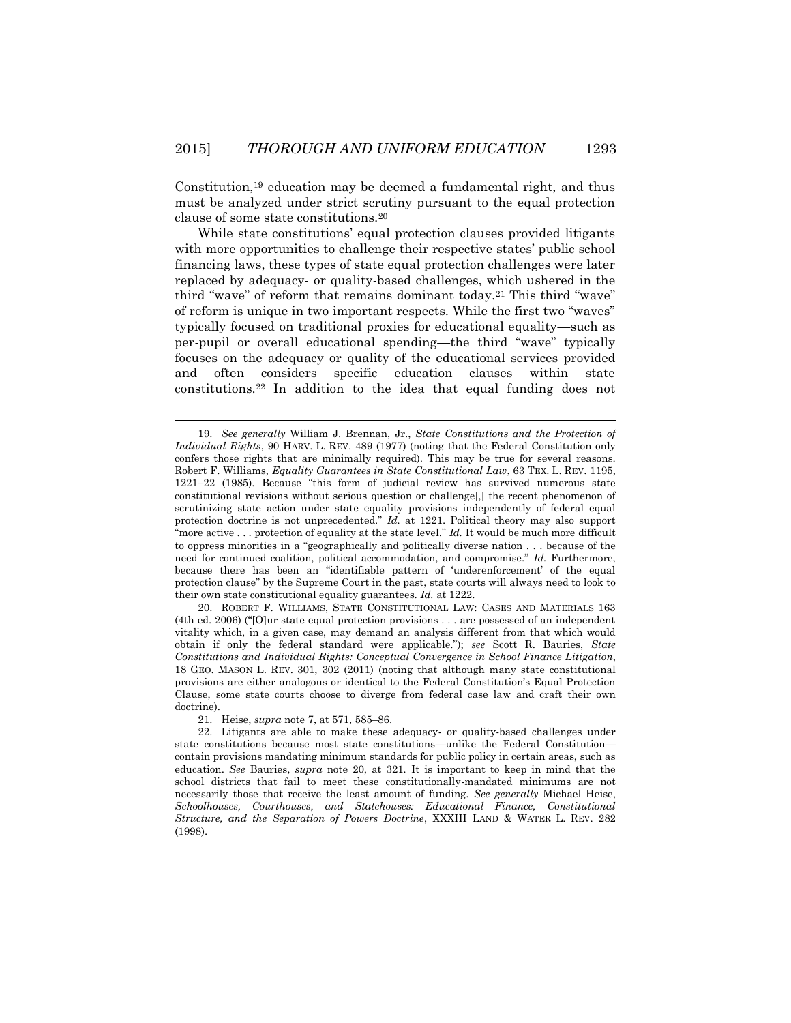Constitution,<sup>19</sup> education may be deemed a fundamental right, and thus must be analyzed under strict scrutiny pursuant to the equal protection clause of some state constitutions.<sup>20</sup>

While state constitutions' equal protection clauses provided litigants with more opportunities to challenge their respective states' public school financing laws, these types of state equal protection challenges were later replaced by adequacy- or quality-based challenges, which ushered in the third "wave" of reform that remains dominant today.<sup>21</sup> This third "wave" of reform is unique in two important respects. While the first two "waves" typically focused on traditional proxies for educational equality—such as per-pupil or overall educational spending—the third "wave" typically focuses on the adequacy or quality of the educational services provided and often considers specific education clauses within state constitutions.<sup>22</sup> In addition to the idea that equal funding does not

20. ROBERT F. WILLIAMS, STATE CONSTITUTIONAL LAW: CASES AND MATERIALS 163 (4th ed. 2006) ("[O]ur state equal protection provisions . . . are possessed of an independent vitality which, in a given case, may demand an analysis different from that which would obtain if only the federal standard were applicable."); *see* Scott R. Bauries, *State Constitutions and Individual Rights: Conceptual Convergence in School Finance Litigation*, 18 GEO. MASON L. REV. 301, 302 (2011) (noting that although many state constitutional provisions are either analogous or identical to the Federal Constitution's Equal Protection Clause, some state courts choose to diverge from federal case law and craft their own doctrine).

21. Heise, *supra* note 7, at 571, 585–86.

l

<sup>19.</sup> *See generally* William J. Brennan, Jr., *State Constitutions and the Protection of Individual Rights*, 90 HARV. L. REV. 489 (1977) (noting that the Federal Constitution only confers those rights that are minimally required). This may be true for several reasons. Robert F. Williams, *Equality Guarantees in State Constitutional Law*, 63 TEX. L. REV. 1195, 1221–22 (1985). Because "this form of judicial review has survived numerous state constitutional revisions without serious question or challenge[,] the recent phenomenon of scrutinizing state action under state equality provisions independently of federal equal protection doctrine is not unprecedented." *Id.* at 1221. Political theory may also support "more active . . . protection of equality at the state level." *Id.* It would be much more difficult to oppress minorities in a "geographically and politically diverse nation . . . because of the need for continued coalition, political accommodation, and compromise." *Id.* Furthermore, because there has been an "identifiable pattern of 'underenforcement' of the equal protection clause" by the Supreme Court in the past, state courts will always need to look to their own state constitutional equality guarantees. *Id.* at 1222.

<sup>22.</sup> Litigants are able to make these adequacy- or quality-based challenges under state constitutions because most state constitutions—unlike the Federal Constitution contain provisions mandating minimum standards for public policy in certain areas, such as education. *See* Bauries, *supra* note 20, at 321*.* It is important to keep in mind that the school districts that fail to meet these constitutionally-mandated minimums are not necessarily those that receive the least amount of funding. *See generally* Michael Heise, *Schoolhouses, Courthouses, and Statehouses: Educational Finance, Constitutional Structure, and the Separation of Powers Doctrine*, XXXIII LAND & WATER L. REV. 282 (1998).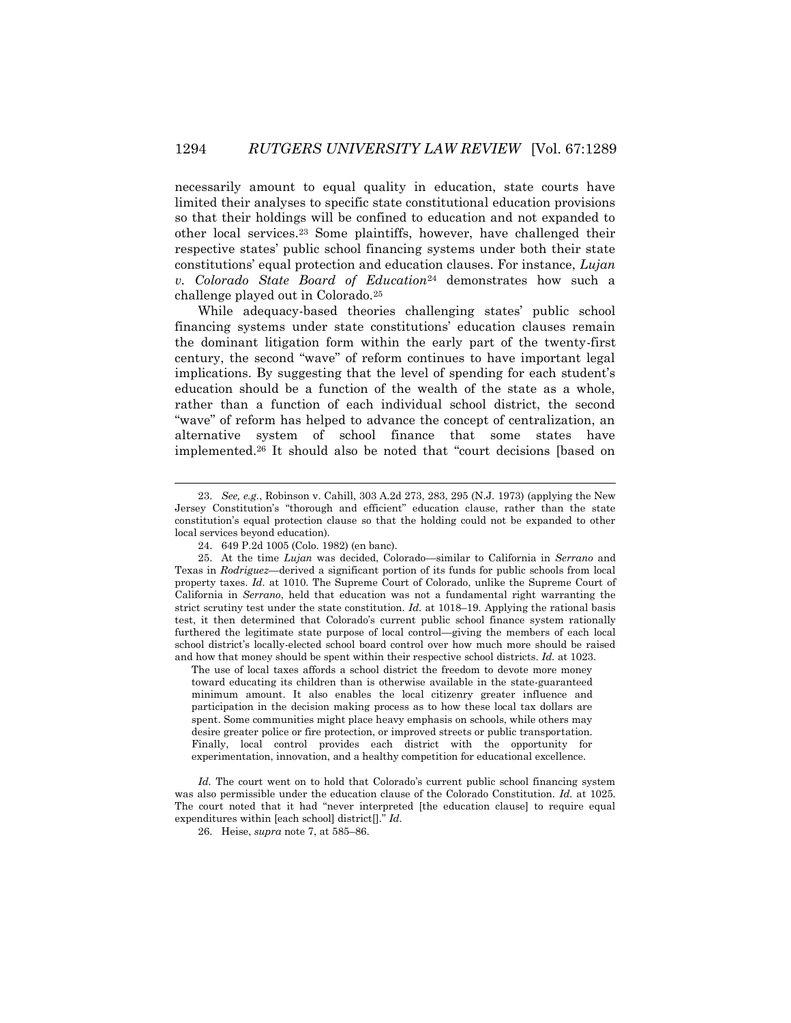necessarily amount to equal quality in education, state courts have limited their analyses to specific state constitutional education provisions so that their holdings will be confined to education and not expanded to other local services.<sup>23</sup> Some plaintiffs, however, have challenged their respective states' public school financing systems under both their state constitutions' equal protection and education clauses. For instance, *Lujan v. Colorado State Board of Education*<sup>24</sup> demonstrates how such a challenge played out in Colorado.<sup>25</sup>

While adequacy-based theories challenging states' public school financing systems under state constitutions' education clauses remain the dominant litigation form within the early part of the twenty-first century, the second "wave" of reform continues to have important legal implications. By suggesting that the level of spending for each student's education should be a function of the wealth of the state as a whole, rather than a function of each individual school district, the second "wave" of reform has helped to advance the concept of centralization, an alternative system of school finance that some states have implemented.<sup>26</sup> It should also be noted that "court decisions [based on

 $\overline{\phantom{a}}$ 

The use of local taxes affords a school district the freedom to devote more money toward educating its children than is otherwise available in the state-guaranteed minimum amount. It also enables the local citizenry greater influence and participation in the decision making process as to how these local tax dollars are spent. Some communities might place heavy emphasis on schools, while others may desire greater police or fire protection, or improved streets or public transportation. Finally, local control provides each district with the opportunity for experimentation, innovation, and a healthy competition for educational excellence.

Id. The court went on to hold that Colorado's current public school financing system was also permissible under the education clause of the Colorado Constitution. *Id.* at 1025. The court noted that it had "never interpreted [the education clause] to require equal expenditures within [each school] district[]." *Id.*

26. Heise, *supra* note 7, at 585–86.

<sup>23.</sup> *See, e.g.*, Robinson v. Cahill, 303 A.2d 273, 283, 295 (N.J. 1973) (applying the New Jersey Constitution's "thorough and efficient" education clause, rather than the state constitution's equal protection clause so that the holding could not be expanded to other local services beyond education).

<sup>24.</sup> 649 P.2d 1005 (Colo. 1982) (en banc).

<sup>25.</sup> At the time *Lujan* was decided, Colorado—similar to California in *Serrano* and Texas in *Rodriguez*—derived a significant portion of its funds for public schools from local property taxes. *Id.* at 1010. The Supreme Court of Colorado, unlike the Supreme Court of California in *Serrano*, held that education was not a fundamental right warranting the strict scrutiny test under the state constitution. *Id.* at 1018–19. Applying the rational basis test, it then determined that Colorado's current public school finance system rationally furthered the legitimate state purpose of local control—giving the members of each local school district's locally-elected school board control over how much more should be raised and how that money should be spent within their respective school districts. *Id.* at 1023.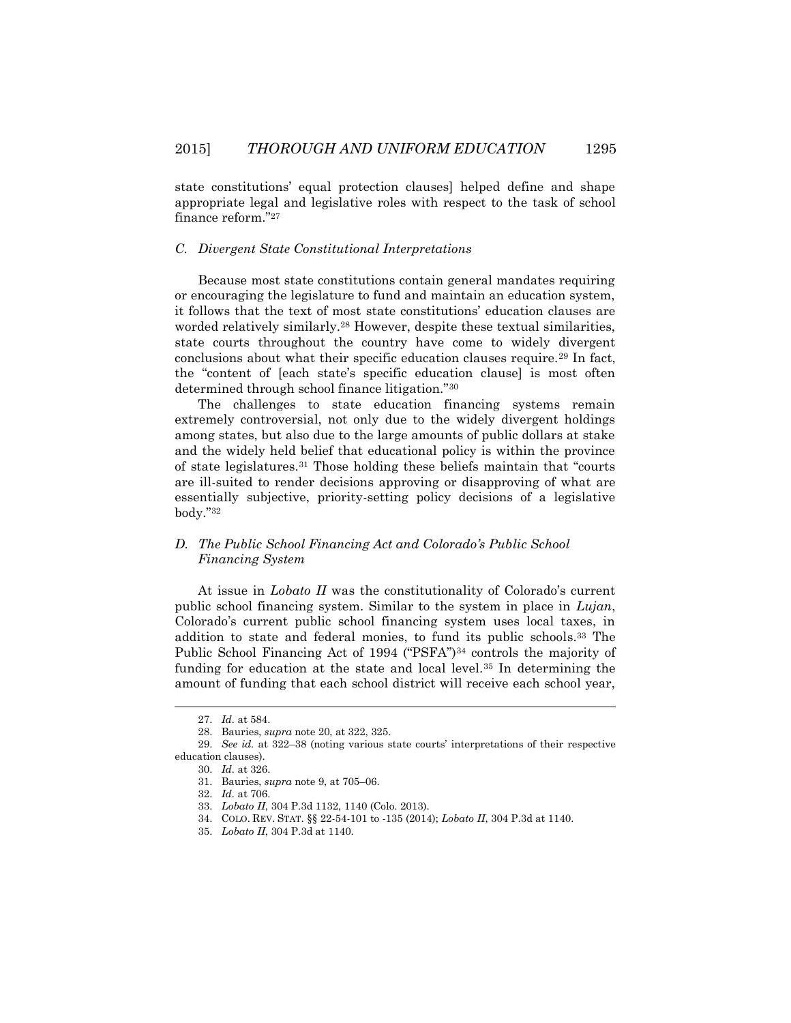state constitutions' equal protection clauses] helped define and shape appropriate legal and legislative roles with respect to the task of school finance reform."<sup>27</sup>

## *C. Divergent State Constitutional Interpretations*

Because most state constitutions contain general mandates requiring or encouraging the legislature to fund and maintain an education system, it follows that the text of most state constitutions' education clauses are worded relatively similarly.<sup>28</sup> However, despite these textual similarities, state courts throughout the country have come to widely divergent conclusions about what their specific education clauses require.<sup>29</sup> In fact, the "content of [each state's specific education clause] is most often determined through school finance litigation."<sup>30</sup>

The challenges to state education financing systems remain extremely controversial, not only due to the widely divergent holdings among states, but also due to the large amounts of public dollars at stake and the widely held belief that educational policy is within the province of state legislatures.<sup>31</sup> Those holding these beliefs maintain that "courts are ill-suited to render decisions approving or disapproving of what are essentially subjective, priority-setting policy decisions of a legislative body."<sup>32</sup>

# *D. The Public School Financing Act and Colorado's Public School Financing System*

At issue in *Lobato II* was the constitutionality of Colorado's current public school financing system. Similar to the system in place in *Lujan*, Colorado's current public school financing system uses local taxes, in addition to state and federal monies, to fund its public schools.<sup>33</sup> The Public School Financing Act of 1994 ("PSFA")<sup>34</sup> controls the majority of funding for education at the state and local level.<sup>35</sup> In determining the amount of funding that each school district will receive each school year,

<sup>27.</sup> *Id.* at 584.

<sup>28.</sup> Bauries, *supra* note 20, at 322, 325.

<sup>29.</sup> *See id.* at 322–38 (noting various state courts' interpretations of their respective education clauses).

<sup>30.</sup> *Id.* at 326.

<sup>31.</sup> Bauries, *supra* note 9, at 705–06.

<sup>32.</sup> *Id.* at 706.

<sup>33.</sup> *Lobato II*, 304 P.3d 1132, 1140 (Colo. 2013).

<sup>34.</sup> COLO. REV. STAT. §§ 22-54-101 to -135 (2014); *Lobato II*, 304 P.3d at 1140.

<sup>35.</sup> *Lobato II*, 304 P.3d at 1140.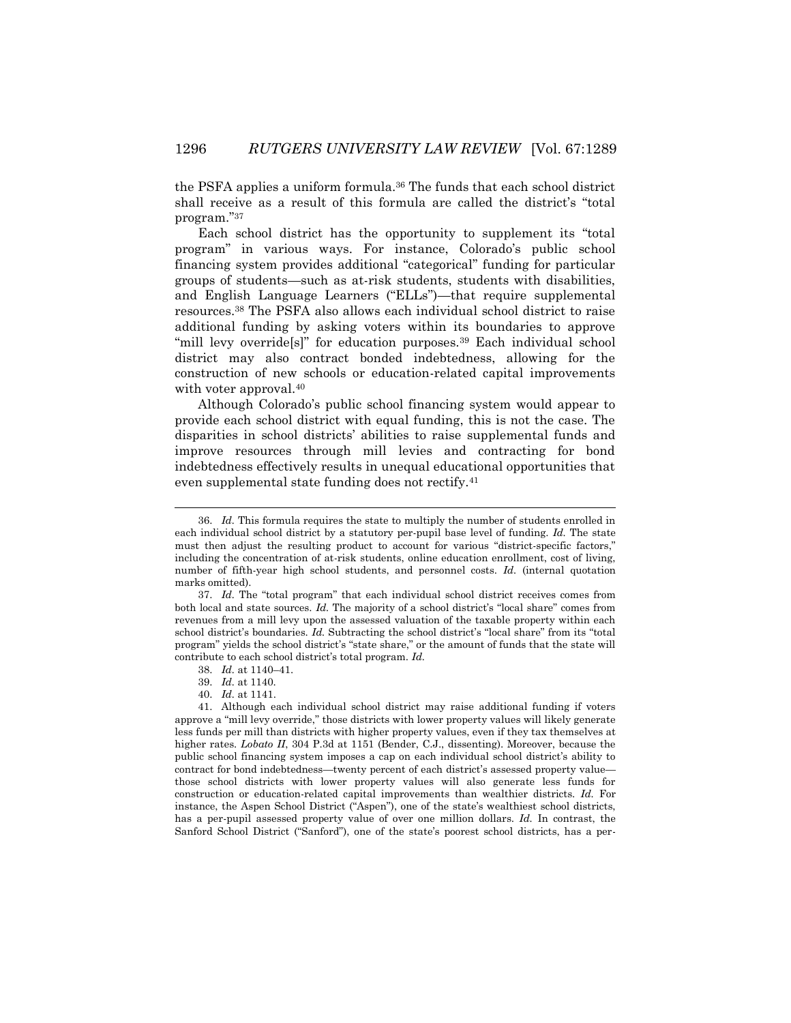the PSFA applies a uniform formula.<sup>36</sup> The funds that each school district shall receive as a result of this formula are called the district's "total program."<sup>37</sup>

Each school district has the opportunity to supplement its "total program" in various ways. For instance, Colorado's public school financing system provides additional "categorical" funding for particular groups of students—such as at-risk students, students with disabilities, and English Language Learners ("ELLs")—that require supplemental resources.<sup>38</sup> The PSFA also allows each individual school district to raise additional funding by asking voters within its boundaries to approve "mill levy override<sup>[s]"</sup> for education purposes.<sup>39</sup> Each individual school district may also contract bonded indebtedness, allowing for the construction of new schools or education-related capital improvements with voter approval.<sup>40</sup>

Although Colorado's public school financing system would appear to provide each school district with equal funding, this is not the case. The disparities in school districts' abilities to raise supplemental funds and improve resources through mill levies and contracting for bond indebtedness effectively results in unequal educational opportunities that even supplemental state funding does not rectify.<sup>41</sup>

<sup>36.</sup> *Id.* This formula requires the state to multiply the number of students enrolled in each individual school district by a statutory per-pupil base level of funding. *Id.* The state must then adjust the resulting product to account for various "district-specific factors," including the concentration of at-risk students, online education enrollment, cost of living, number of fifth-year high school students, and personnel costs. *Id.* (internal quotation marks omitted).

<sup>37.</sup> *Id.* The "total program" that each individual school district receives comes from both local and state sources. *Id.* The majority of a school district's "local share" comes from revenues from a mill levy upon the assessed valuation of the taxable property within each school district's boundaries. *Id.* Subtracting the school district's "local share" from its "total program" yields the school district's "state share," or the amount of funds that the state will contribute to each school district's total program. *Id.*

<sup>38.</sup> *Id.* at 1140–41.

<sup>39.</sup> *Id.* at 1140.

<sup>40.</sup> *Id.* at 1141.

<sup>41.</sup> Although each individual school district may raise additional funding if voters approve a "mill levy override," those districts with lower property values will likely generate less funds per mill than districts with higher property values, even if they tax themselves at higher rates. *Lobato II*, 304 P.3d at 1151 (Bender, C.J., dissenting). Moreover, because the public school financing system imposes a cap on each individual school district's ability to contract for bond indebtedness—twenty percent of each district's assessed property value those school districts with lower property values will also generate less funds for construction or education-related capital improvements than wealthier districts. *Id.* For instance, the Aspen School District ("Aspen"), one of the state's wealthiest school districts, has a per-pupil assessed property value of over one million dollars. *Id.* In contrast, the Sanford School District ("Sanford"), one of the state's poorest school districts, has a per-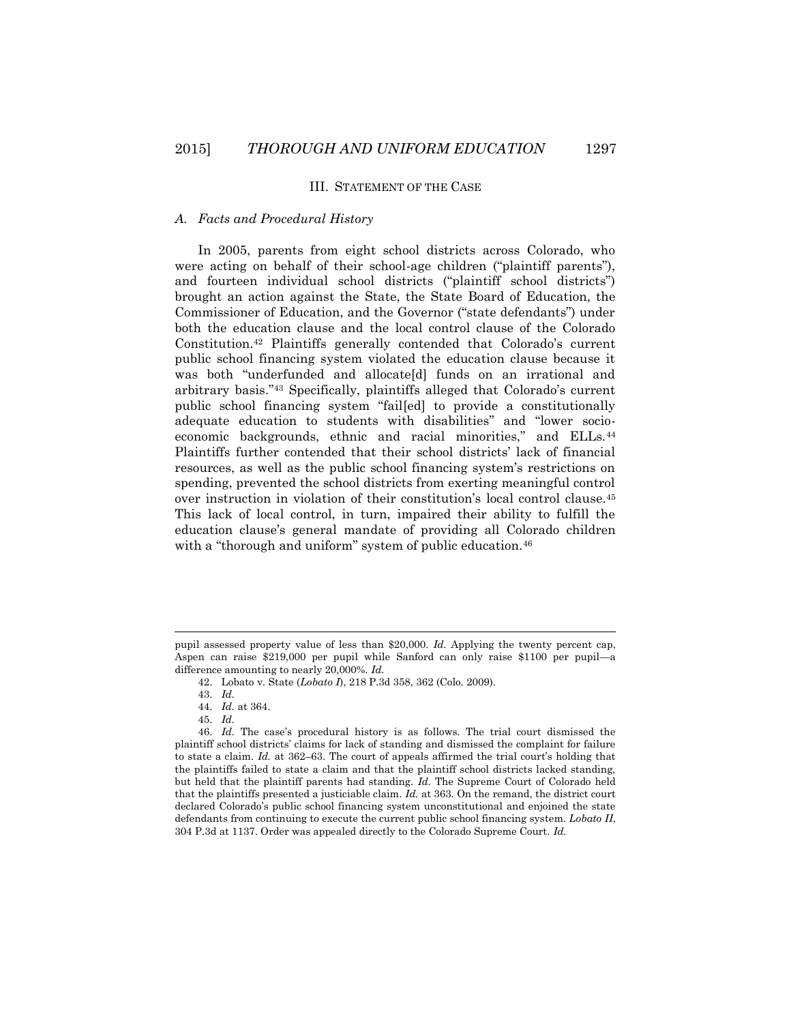#### III. STATEMENT OF THE CASE

## *A. Facts and Procedural History*

In 2005, parents from eight school districts across Colorado, who were acting on behalf of their school-age children ("plaintiff parents"), and fourteen individual school districts ("plaintiff school districts") brought an action against the State, the State Board of Education, the Commissioner of Education, and the Governor ("state defendants") under both the education clause and the local control clause of the Colorado Constitution.<sup>42</sup> Plaintiffs generally contended that Colorado's current public school financing system violated the education clause because it was both "underfunded and allocate[d] funds on an irrational and arbitrary basis."<sup>43</sup> Specifically, plaintiffs alleged that Colorado's current public school financing system "fail[ed] to provide a constitutionally adequate education to students with disabilities" and "lower socioeconomic backgrounds, ethnic and racial minorities," and ELLs.<sup>44</sup> Plaintiffs further contended that their school districts' lack of financial resources, as well as the public school financing system's restrictions on spending, prevented the school districts from exerting meaningful control over instruction in violation of their constitution's local control clause.<sup>45</sup> This lack of local control, in turn, impaired their ability to fulfill the education clause's general mandate of providing all Colorado children with a "thorough and uniform" system of public education.<sup>46</sup>

pupil assessed property value of less than \$20,000. *Id.* Applying the twenty percent cap, Aspen can raise \$219,000 per pupil while Sanford can only raise \$1100 per pupil—a difference amounting to nearly 20,000%. *Id.*

<sup>42.</sup> Lobato v. State (*Lobato I*), 218 P.3d 358, 362 (Colo. 2009).

<sup>43.</sup> *Id.*

<sup>44.</sup> *Id.* at 364.

<sup>45.</sup> *Id.* 

<sup>46.</sup> *Id.* The case's procedural history is as follows. The trial court dismissed the plaintiff school districts' claims for lack of standing and dismissed the complaint for failure to state a claim. *Id.* at 362–63. The court of appeals affirmed the trial court's holding that the plaintiffs failed to state a claim and that the plaintiff school districts lacked standing, but held that the plaintiff parents had standing. *Id.* The Supreme Court of Colorado held that the plaintiffs presented a justiciable claim. *Id.* at 363. On the remand, the district court declared Colorado's public school financing system unconstitutional and enjoined the state defendants from continuing to execute the current public school financing system. *Lobato II*, 304 P.3d at 1137. Order was appealed directly to the Colorado Supreme Court. *Id.*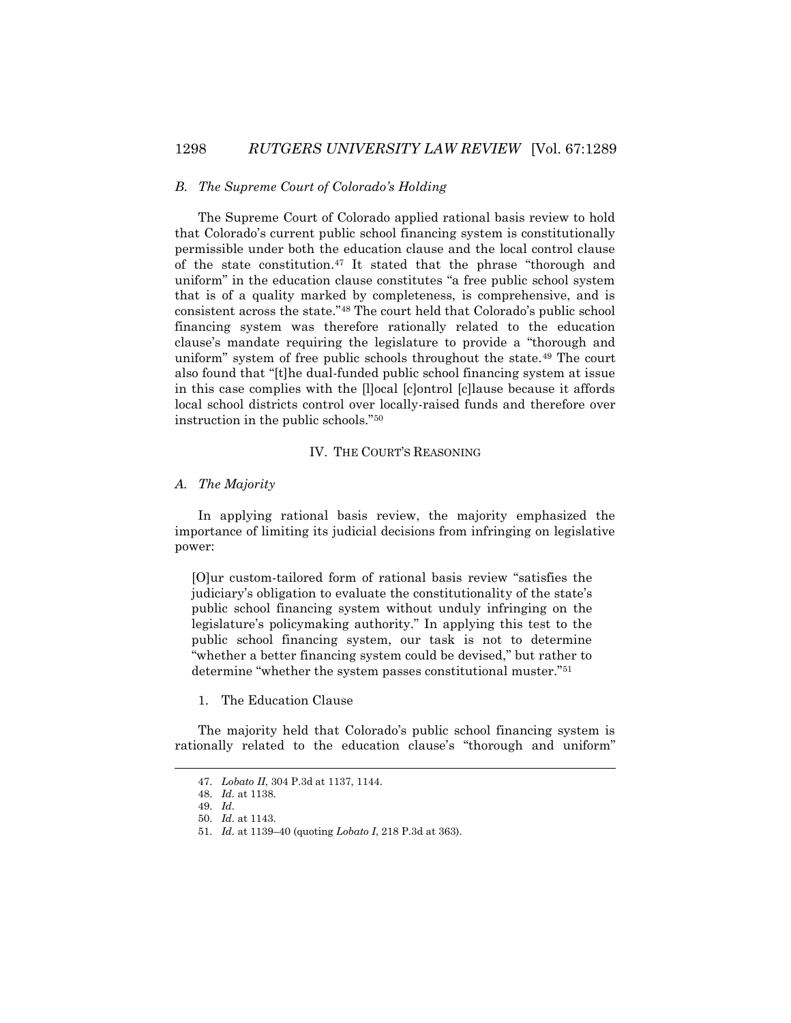#### *B. The Supreme Court of Colorado's Holding*

The Supreme Court of Colorado applied rational basis review to hold that Colorado's current public school financing system is constitutionally permissible under both the education clause and the local control clause of the state constitution.<sup>47</sup> It stated that the phrase "thorough and uniform" in the education clause constitutes "a free public school system that is of a quality marked by completeness, is comprehensive, and is consistent across the state."<sup>48</sup> The court held that Colorado's public school financing system was therefore rationally related to the education clause's mandate requiring the legislature to provide a "thorough and uniform" system of free public schools throughout the state.<sup>49</sup> The court also found that "[t]he dual-funded public school financing system at issue in this case complies with the [l]ocal [c]ontrol [c]lause because it affords local school districts control over locally-raised funds and therefore over instruction in the public schools."<sup>50</sup>

#### IV. THE COURT'S REASONING

### *A. The Majority*

In applying rational basis review, the majority emphasized the importance of limiting its judicial decisions from infringing on legislative power:

[O]ur custom-tailored form of rational basis review "satisfies the judiciary's obligation to evaluate the constitutionality of the state's public school financing system without unduly infringing on the legislature's policymaking authority." In applying this test to the public school financing system, our task is not to determine "whether a better financing system could be devised," but rather to determine "whether the system passes constitutional muster."<sup>51</sup>

1. The Education Clause

The majority held that Colorado's public school financing system is rationally related to the education clause's "thorough and uniform"

<sup>47.</sup> *Lobato II*, 304 P.3d at 1137, 1144.

<sup>48.</sup> *Id.* at 1138.

<sup>49.</sup> *Id.*

<sup>50.</sup> *Id.* at 1143.

<sup>51.</sup> *Id.* at 1139–40 (quoting *Lobato I*, 218 P.3d at 363).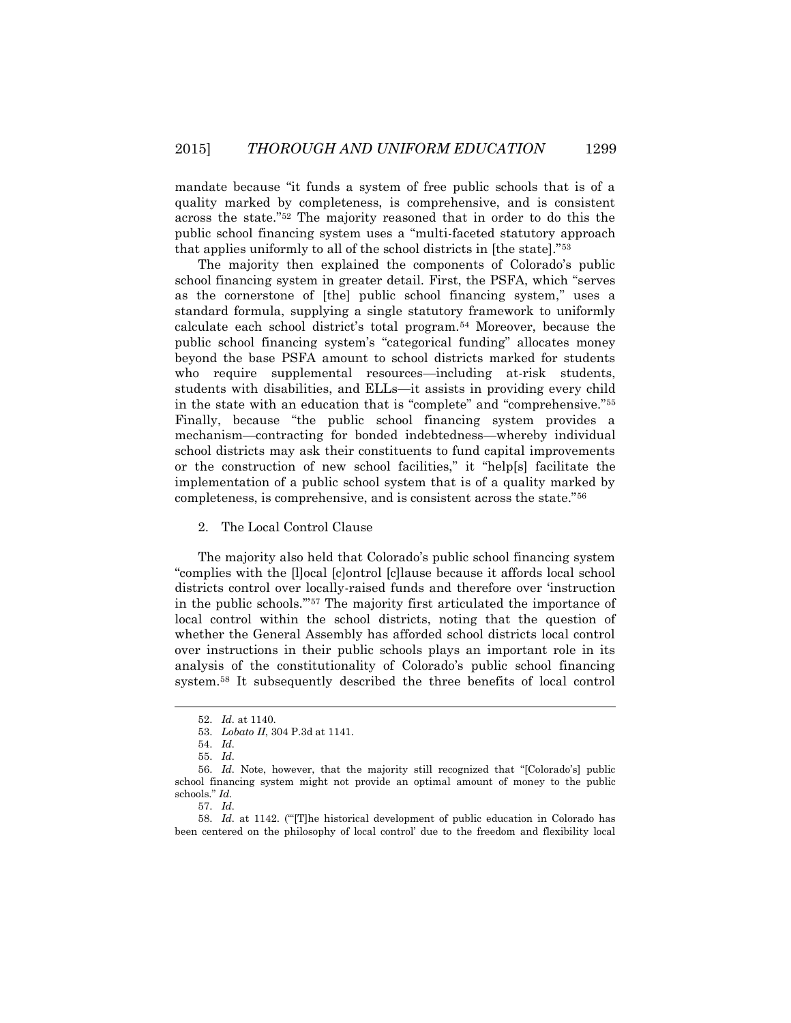mandate because "it funds a system of free public schools that is of a quality marked by completeness, is comprehensive, and is consistent across the state."<sup>52</sup> The majority reasoned that in order to do this the public school financing system uses a "multi-faceted statutory approach that applies uniformly to all of the school districts in [the state]."<sup>53</sup>

The majority then explained the components of Colorado's public school financing system in greater detail. First, the PSFA, which "serves as the cornerstone of [the] public school financing system," uses a standard formula, supplying a single statutory framework to uniformly calculate each school district's total program.<sup>54</sup> Moreover, because the public school financing system's "categorical funding" allocates money beyond the base PSFA amount to school districts marked for students who require supplemental resources—including at-risk students, students with disabilities, and ELLs—it assists in providing every child in the state with an education that is "complete" and "comprehensive."<sup>55</sup> Finally, because "the public school financing system provides a mechanism—contracting for bonded indebtedness—whereby individual school districts may ask their constituents to fund capital improvements or the construction of new school facilities," it "help[s] facilitate the implementation of a public school system that is of a quality marked by completeness, is comprehensive, and is consistent across the state."<sup>56</sup>

#### 2. The Local Control Clause

The majority also held that Colorado's public school financing system "complies with the [l]ocal [c]ontrol [c]lause because it affords local school districts control over locally-raised funds and therefore over 'instruction in the public schools.'"<sup>57</sup> The majority first articulated the importance of local control within the school districts, noting that the question of whether the General Assembly has afforded school districts local control over instructions in their public schools plays an important role in its analysis of the constitutionality of Colorado's public school financing system.<sup>58</sup> It subsequently described the three benefits of local control

<sup>52.</sup> *Id.* at 1140.

<sup>53.</sup> *Lobato II*, 304 P.3d at 1141.

<sup>54.</sup> *Id.*

<sup>55.</sup> *Id.*

<sup>56.</sup> *Id.* Note, however, that the majority still recognized that "[Colorado's] public school financing system might not provide an optimal amount of money to the public schools." *Id.*

<sup>57.</sup> *Id.*

<sup>58.</sup> *Id.* at 1142. ("'[T]he historical development of public education in Colorado has been centered on the philosophy of local control' due to the freedom and flexibility local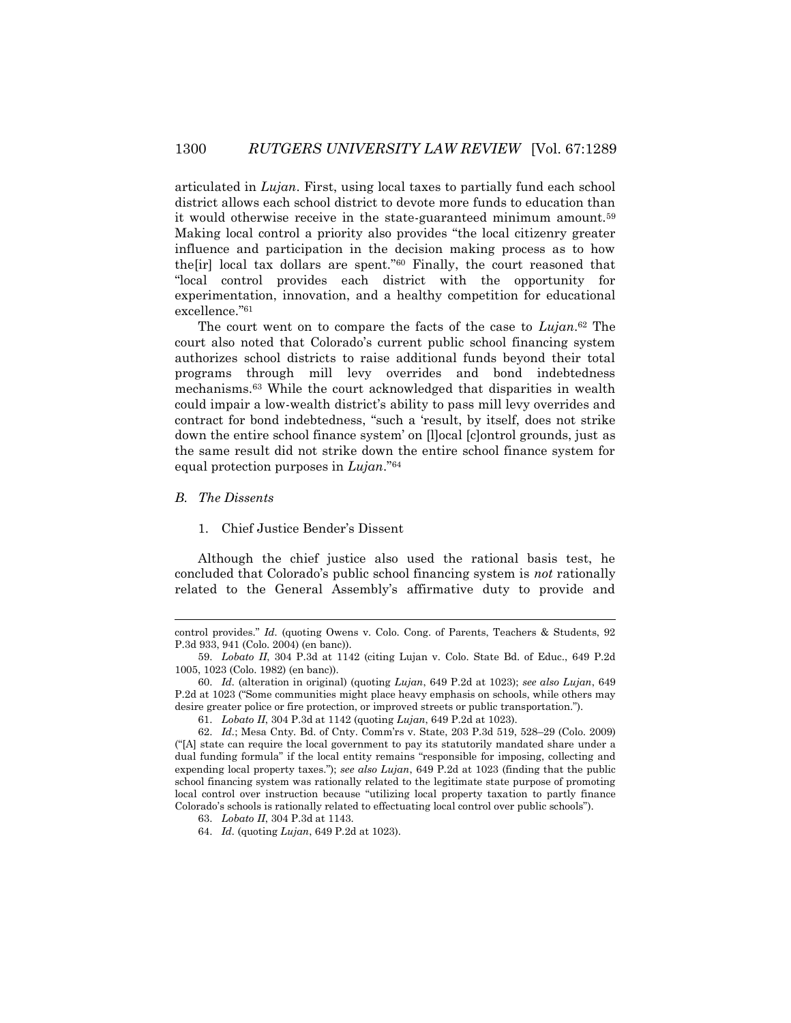articulated in *Lujan*. First, using local taxes to partially fund each school district allows each school district to devote more funds to education than it would otherwise receive in the state-guaranteed minimum amount.<sup>59</sup> Making local control a priority also provides "the local citizenry greater influence and participation in the decision making process as to how the[ir] local tax dollars are spent." <sup>60</sup> Finally, the court reasoned that "local control provides each district with the opportunity for experimentation, innovation, and a healthy competition for educational excellence." 61

The court went on to compare the facts of the case to *Lujan*. <sup>62</sup> The court also noted that Colorado's current public school financing system authorizes school districts to raise additional funds beyond their total programs through mill levy overrides and bond indebtedness mechanisms.<sup>63</sup> While the court acknowledged that disparities in wealth could impair a low-wealth district's ability to pass mill levy overrides and contract for bond indebtedness, "such a 'result, by itself, does not strike down the entire school finance system' on [l]ocal [c]ontrol grounds, just as the same result did not strike down the entire school finance system for equal protection purposes in *Lujan*."<sup>64</sup>

*B. The Dissents*

 $\overline{\phantom{a}}$ 

1. Chief Justice Bender's Dissent

Although the chief justice also used the rational basis test, he concluded that Colorado's public school financing system is *not* rationally related to the General Assembly's affirmative duty to provide and

control provides." *Id.* (quoting Owens v. Colo. Cong. of Parents, Teachers & Students, 92 P.3d 933, 941 (Colo. 2004) (en banc)).

<sup>59.</sup> *Lobato II*, 304 P.3d at 1142 (citing Lujan v. Colo. State Bd. of Educ., 649 P.2d 1005, 1023 (Colo. 1982) (en banc)).

<sup>60.</sup> *Id.* (alteration in original) (quoting *Lujan*, 649 P.2d at 1023); *see also Lujan*, 649 P.2d at 1023 ("Some communities might place heavy emphasis on schools, while others may desire greater police or fire protection, or improved streets or public transportation.").

<sup>61.</sup> *Lobato II*, 304 P.3d at 1142 (quoting *Lujan*, 649 P.2d at 1023).

<sup>62.</sup> *Id.*; Mesa Cnty. Bd. of Cnty. Comm'rs v. State, 203 P.3d 519, 528–29 (Colo. 2009) ("[A] state can require the local government to pay its statutorily mandated share under a dual funding formula" if the local entity remains "responsible for imposing, collecting and expending local property taxes."); *see also Lujan*, 649 P.2d at 1023 (finding that the public school financing system was rationally related to the legitimate state purpose of promoting local control over instruction because "utilizing local property taxation to partly finance Colorado's schools is rationally related to effectuating local control over public schools").

<sup>63.</sup> *Lobato II*, 304 P.3d at 1143.

<sup>64.</sup> *Id.* (quoting *Lujan*, 649 P.2d at 1023).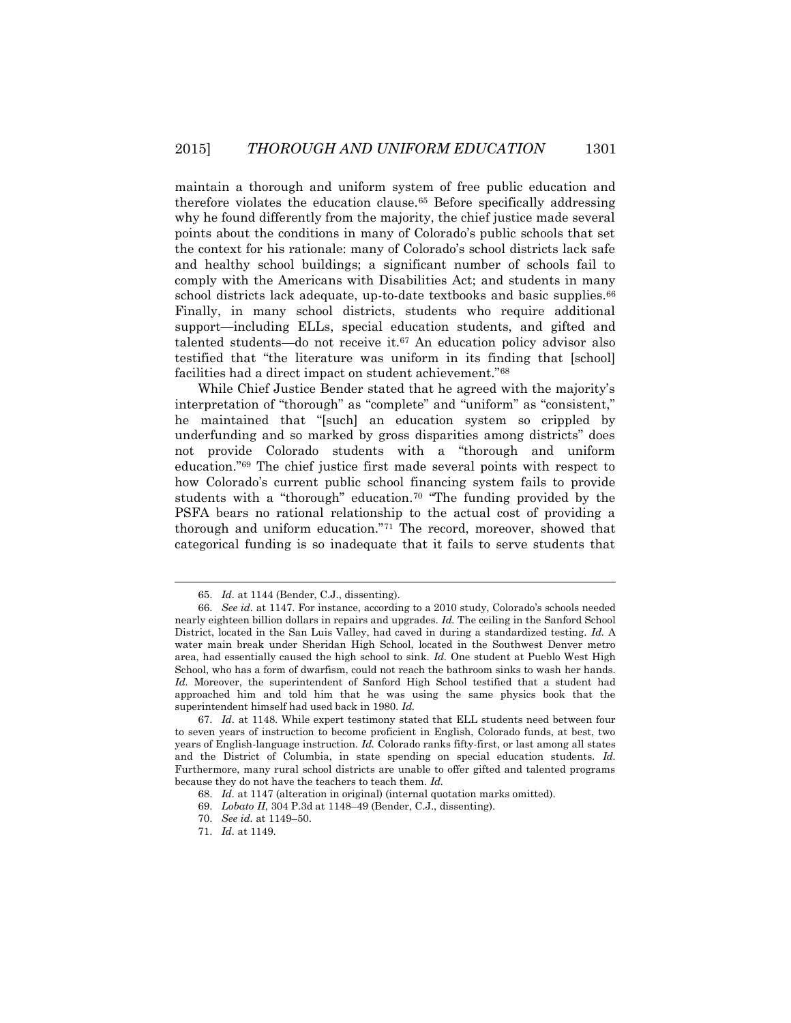maintain a thorough and uniform system of free public education and therefore violates the education clause.<sup>65</sup> Before specifically addressing why he found differently from the majority, the chief justice made several points about the conditions in many of Colorado's public schools that set the context for his rationale: many of Colorado's school districts lack safe and healthy school buildings; a significant number of schools fail to comply with the Americans with Disabilities Act; and students in many school districts lack adequate, up-to-date textbooks and basic supplies.<sup>66</sup> Finally, in many school districts, students who require additional support—including ELLs, special education students, and gifted and talented students—do not receive it.<sup>67</sup> An education policy advisor also testified that "the literature was uniform in its finding that [school] facilities had a direct impact on student achievement."<sup>68</sup>

While Chief Justice Bender stated that he agreed with the majority's interpretation of "thorough" as "complete" and "uniform" as "consistent," he maintained that "[such] an education system so crippled by underfunding and so marked by gross disparities among districts" does not provide Colorado students with a "thorough and uniform education."<sup>69</sup> The chief justice first made several points with respect to how Colorado's current public school financing system fails to provide students with a "thorough" education.<sup>70</sup> "The funding provided by the PSFA bears no rational relationship to the actual cost of providing a thorough and uniform education."<sup>71</sup> The record, moreover, showed that categorical funding is so inadequate that it fails to serve students that

<sup>65.</sup> *Id.* at 1144 (Bender, C.J., dissenting).

<sup>66.</sup> *See id.* at 1147. For instance, according to a 2010 study, Colorado's schools needed nearly eighteen billion dollars in repairs and upgrades. *Id.* The ceiling in the Sanford School District, located in the San Luis Valley, had caved in during a standardized testing. *Id.* A water main break under Sheridan High School, located in the Southwest Denver metro area, had essentially caused the high school to sink. *Id.* One student at Pueblo West High School, who has a form of dwarfism, could not reach the bathroom sinks to wash her hands. *Id.* Moreover, the superintendent of Sanford High School testified that a student had approached him and told him that he was using the same physics book that the superintendent himself had used back in 1980. *Id.*

<sup>67.</sup> *Id.* at 1148. While expert testimony stated that ELL students need between four to seven years of instruction to become proficient in English, Colorado funds, at best, two years of English-language instruction. *Id.* Colorado ranks fifty-first, or last among all states and the District of Columbia, in state spending on special education students. *Id.* Furthermore, many rural school districts are unable to offer gifted and talented programs because they do not have the teachers to teach them. *Id.*

<sup>68.</sup> *Id.* at 1147 (alteration in original) (internal quotation marks omitted).

<sup>69.</sup> *Lobato II*, 304 P.3d at 1148–49 (Bender, C.J., dissenting).

<sup>70.</sup> *See id.* at 1149–50.

<sup>71.</sup> *Id.* at 1149.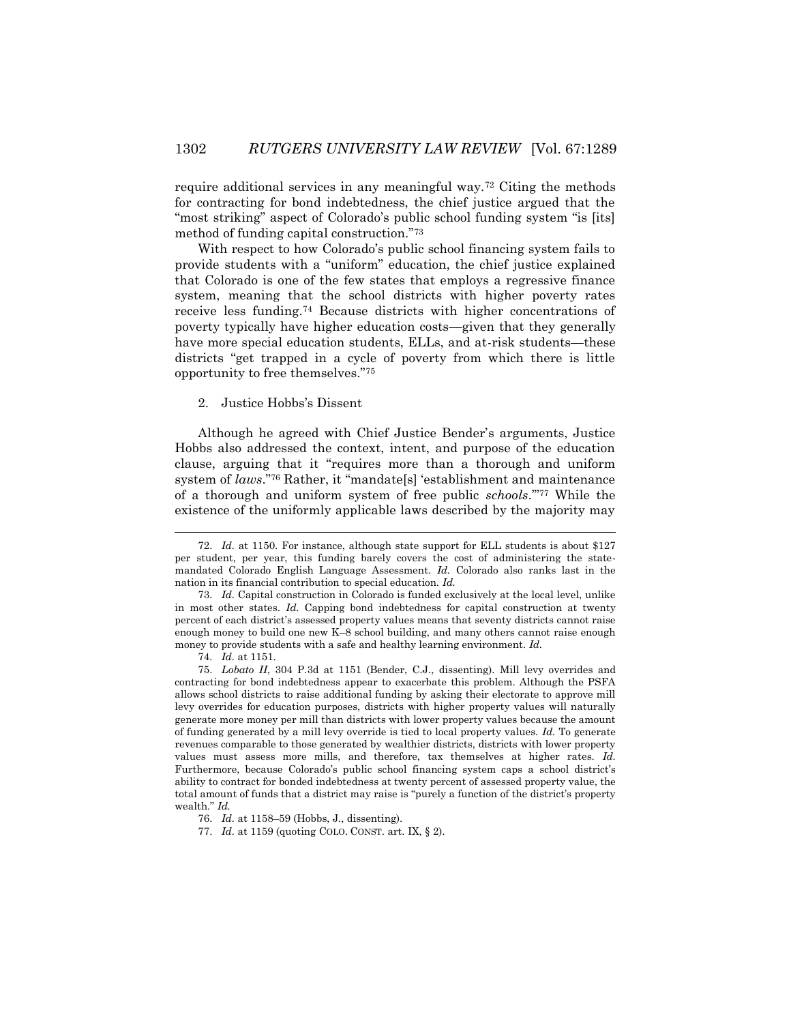require additional services in any meaningful way.<sup>72</sup> Citing the methods for contracting for bond indebtedness, the chief justice argued that the "most striking" aspect of Colorado's public school funding system "is [its] method of funding capital construction."<sup>73</sup>

With respect to how Colorado's public school financing system fails to provide students with a "uniform" education, the chief justice explained that Colorado is one of the few states that employs a regressive finance system, meaning that the school districts with higher poverty rates receive less funding.<sup>74</sup> Because districts with higher concentrations of poverty typically have higher education costs—given that they generally have more special education students, ELLs, and at-risk students—these districts "get trapped in a cycle of poverty from which there is little opportunity to free themselves."<sup>75</sup>

#### 2. Justice Hobbs's Dissent

Although he agreed with Chief Justice Bender's arguments, Justice Hobbs also addressed the context, intent, and purpose of the education clause, arguing that it "requires more than a thorough and uniform system of *laws*."<sup>76</sup> Rather, it "mandate[s] 'establishment and maintenance of a thorough and uniform system of free public *schools*.'"<sup>77</sup> While the existence of the uniformly applicable laws described by the majority may

 $\overline{a}$ 

<sup>72.</sup> *Id.* at 1150. For instance, although state support for ELL students is about \$127 per student, per year, this funding barely covers the cost of administering the statemandated Colorado English Language Assessment. *Id.* Colorado also ranks last in the nation in its financial contribution to special education. *Id.*

<sup>73.</sup> *Id.* Capital construction in Colorado is funded exclusively at the local level, unlike in most other states. *Id.* Capping bond indebtedness for capital construction at twenty percent of each district's assessed property values means that seventy districts cannot raise enough money to build one new K–8 school building, and many others cannot raise enough money to provide students with a safe and healthy learning environment. *Id.*

<sup>74.</sup> *Id.* at 1151.

<sup>75.</sup> *Lobato II*, 304 P.3d at 1151 (Bender, C.J., dissenting). Mill levy overrides and contracting for bond indebtedness appear to exacerbate this problem. Although the PSFA allows school districts to raise additional funding by asking their electorate to approve mill levy overrides for education purposes, districts with higher property values will naturally generate more money per mill than districts with lower property values because the amount of funding generated by a mill levy override is tied to local property values. *Id.* To generate revenues comparable to those generated by wealthier districts, districts with lower property values must assess more mills, and therefore, tax themselves at higher rates. *Id.*  Furthermore, because Colorado's public school financing system caps a school district's ability to contract for bonded indebtedness at twenty percent of assessed property value, the total amount of funds that a district may raise is "purely a function of the district's property wealth." *Id.*

<sup>76.</sup> *Id.* at 1158–59 (Hobbs, J., dissenting).

<sup>77.</sup> *Id.* at 1159 (quoting COLO. CONST. art. IX, § 2).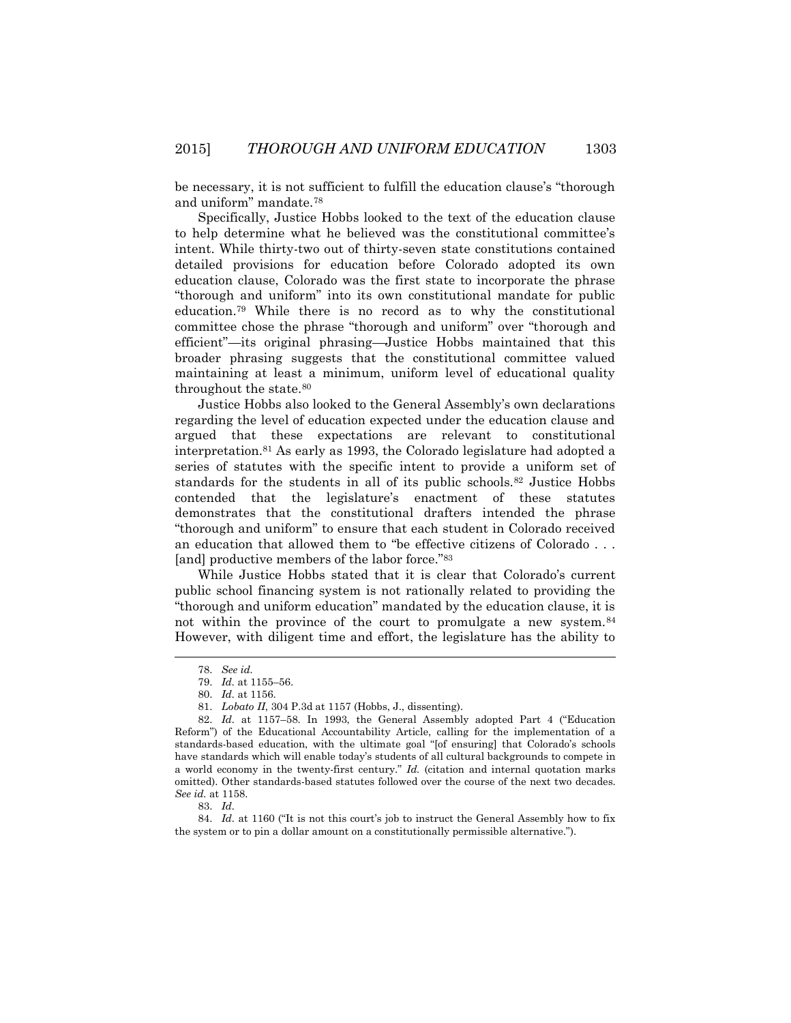be necessary, it is not sufficient to fulfill the education clause's "thorough and uniform" mandate.<sup>78</sup>

Specifically, Justice Hobbs looked to the text of the education clause to help determine what he believed was the constitutional committee's intent. While thirty-two out of thirty-seven state constitutions contained detailed provisions for education before Colorado adopted its own education clause, Colorado was the first state to incorporate the phrase "thorough and uniform" into its own constitutional mandate for public education.<sup>79</sup> While there is no record as to why the constitutional committee chose the phrase "thorough and uniform" over "thorough and efficient"—its original phrasing—Justice Hobbs maintained that this broader phrasing suggests that the constitutional committee valued maintaining at least a minimum, uniform level of educational quality throughout the state.<sup>80</sup>

Justice Hobbs also looked to the General Assembly's own declarations regarding the level of education expected under the education clause and argued that these expectations are relevant to constitutional interpretation.<sup>81</sup> As early as 1993, the Colorado legislature had adopted a series of statutes with the specific intent to provide a uniform set of standards for the students in all of its public schools.<sup>82</sup> Justice Hobbs contended that the legislature's enactment of these statutes demonstrates that the constitutional drafters intended the phrase "thorough and uniform" to ensure that each student in Colorado received an education that allowed them to "be effective citizens of Colorado . . . [and] productive members of the labor force."<sup>83</sup>

While Justice Hobbs stated that it is clear that Colorado's current public school financing system is not rationally related to providing the "thorough and uniform education" mandated by the education clause, it is not within the province of the court to promulgate a new system.<sup>84</sup> However, with diligent time and effort, the legislature has the ability to

 $\overline{\phantom{a}}$ 

83. *Id.*

84. *Id.* at 1160 ("It is not this court's job to instruct the General Assembly how to fix the system or to pin a dollar amount on a constitutionally permissible alternative.").

<sup>78.</sup> *See id.*

<sup>79.</sup> *Id.* at 1155–56.

<sup>80.</sup> *Id.* at 1156.

<sup>81.</sup> *Lobato II*, 304 P.3d at 1157 (Hobbs, J., dissenting).

<sup>82.</sup> *Id.* at 1157–58. In 1993, the General Assembly adopted Part 4 ("Education Reform") of the Educational Accountability Article, calling for the implementation of a standards-based education, with the ultimate goal "[of ensuring] that Colorado's schools have standards which will enable today's students of all cultural backgrounds to compete in a world economy in the twenty-first century." *Id.* (citation and internal quotation marks omitted). Other standards-based statutes followed over the course of the next two decades. *See id.* at 1158.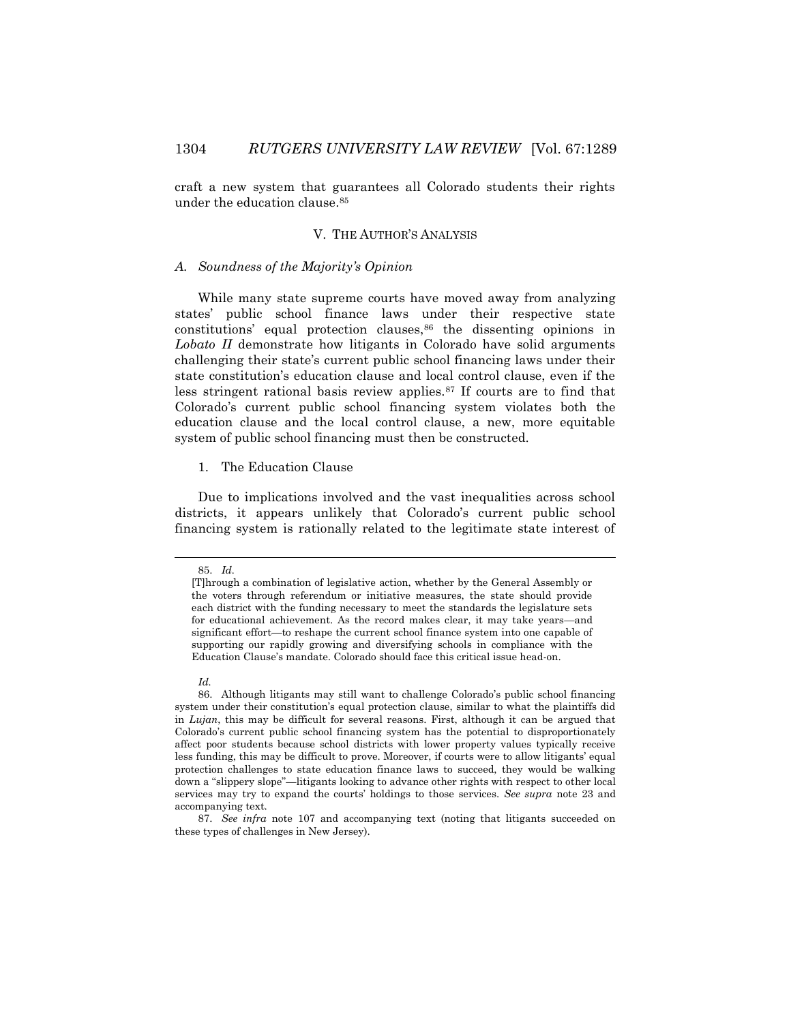craft a new system that guarantees all Colorado students their rights under the education clause.<sup>85</sup>

## V. THE AUTHOR'S ANALYSIS

#### *A. Soundness of the Majority's Opinion*

While many state supreme courts have moved away from analyzing states' public school finance laws under their respective state constitutions' equal protection clauses,<sup>86</sup> the dissenting opinions in *Lobato II* demonstrate how litigants in Colorado have solid arguments challenging their state's current public school financing laws under their state constitution's education clause and local control clause, even if the less stringent rational basis review applies.<sup>87</sup> If courts are to find that Colorado's current public school financing system violates both the education clause and the local control clause, a new, more equitable system of public school financing must then be constructed.

## 1. The Education Clause

Due to implications involved and the vast inequalities across school districts, it appears unlikely that Colorado's current public school financing system is rationally related to the legitimate state interest of

<sup>85.</sup> *Id.*

<sup>[</sup>T]hrough a combination of legislative action, whether by the General Assembly or the voters through referendum or initiative measures, the state should provide each district with the funding necessary to meet the standards the legislature sets for educational achievement. As the record makes clear, it may take years—and significant effort—to reshape the current school finance system into one capable of supporting our rapidly growing and diversifying schools in compliance with the Education Clause's mandate. Colorado should face this critical issue head-on.

*Id.*

<sup>86.</sup> Although litigants may still want to challenge Colorado's public school financing system under their constitution's equal protection clause, similar to what the plaintiffs did in *Lujan*, this may be difficult for several reasons. First, although it can be argued that Colorado's current public school financing system has the potential to disproportionately affect poor students because school districts with lower property values typically receive less funding, this may be difficult to prove. Moreover, if courts were to allow litigants' equal protection challenges to state education finance laws to succeed, they would be walking down a "slippery slope"—litigants looking to advance other rights with respect to other local services may try to expand the courts' holdings to those services. *See supra* note 23 and accompanying text.

<sup>87.</sup> *See infra* note 107 and accompanying text (noting that litigants succeeded on these types of challenges in New Jersey).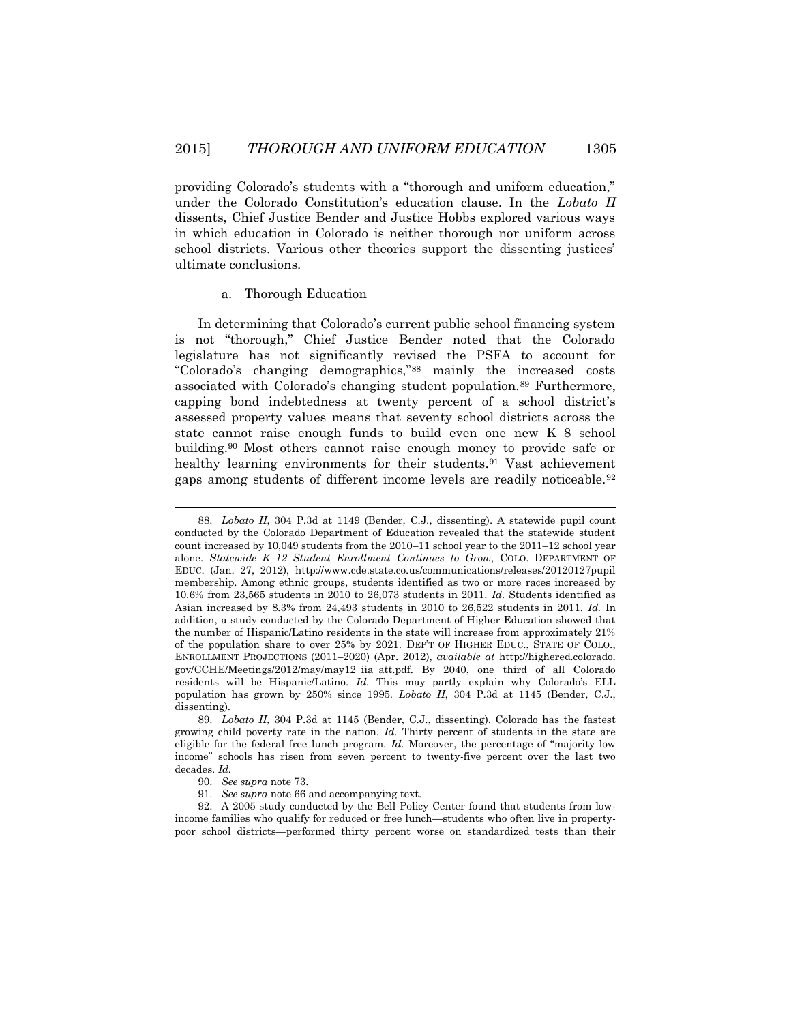providing Colorado's students with a "thorough and uniform education," under the Colorado Constitution's education clause. In the *Lobato II*  dissents, Chief Justice Bender and Justice Hobbs explored various ways in which education in Colorado is neither thorough nor uniform across school districts. Various other theories support the dissenting justices' ultimate conclusions.

#### a. Thorough Education

In determining that Colorado's current public school financing system is not "thorough," Chief Justice Bender noted that the Colorado legislature has not significantly revised the PSFA to account for "Colorado's changing demographics,"<sup>88</sup> mainly the increased costs associated with Colorado's changing student population.<sup>89</sup> Furthermore, capping bond indebtedness at twenty percent of a school district's assessed property values means that seventy school districts across the state cannot raise enough funds to build even one new K–8 school building.<sup>90</sup> Most others cannot raise enough money to provide safe or healthy learning environments for their students.<sup>91</sup> Vast achievement gaps among students of different income levels are readily noticeable.<sup>92</sup>

<sup>88.</sup> *Lobato II*, 304 P.3d at 1149 (Bender, C.J., dissenting). A statewide pupil count conducted by the Colorado Department of Education revealed that the statewide student count increased by 10,049 students from the 2010–11 school year to the 2011–12 school year alone. *Statewide K–12 Student Enrollment Continues to Grow*, COLO. DEPARTMENT OF EDUC. (Jan. 27, 2012), http://www.cde.state.co.us/communications/releases/20120127pupil membership. Among ethnic groups, students identified as two or more races increased by 10.6% from 23,565 students in 2010 to 26,073 students in 2011. *Id.* Students identified as Asian increased by 8.3% from 24,493 students in 2010 to 26,522 students in 2011. *Id.* In addition, a study conducted by the Colorado Department of Higher Education showed that the number of Hispanic/Latino residents in the state will increase from approximately 21% of the population share to over 25% by 2021. DEP'T OF HIGHER EDUC., STATE OF COLO., ENROLLMENT PROJECTIONS (2011–2020) (Apr. 2012), *available at* http://highered.colorado. gov/CCHE/Meetings/2012/may/may12\_iia\_att.pdf. By 2040, one third of all Colorado residents will be Hispanic/Latino. *Id.* This may partly explain why Colorado's ELL population has grown by 250% since 1995. *Lobato II*, 304 P.3d at 1145 (Bender, C.J., dissenting).

<sup>89.</sup> *Lobato II*, 304 P.3d at 1145 (Bender, C.J., dissenting). Colorado has the fastest growing child poverty rate in the nation. *Id.* Thirty percent of students in the state are eligible for the federal free lunch program. *Id.* Moreover, the percentage of "majority low income" schools has risen from seven percent to twenty-five percent over the last two decades. *Id.*

<sup>90.</sup> *See supra* note 73.

<sup>91.</sup> *See supra* note 66 and accompanying text.

<sup>92.</sup> A 2005 study conducted by the Bell Policy Center found that students from lowincome families who qualify for reduced or free lunch—students who often live in propertypoor school districts—performed thirty percent worse on standardized tests than their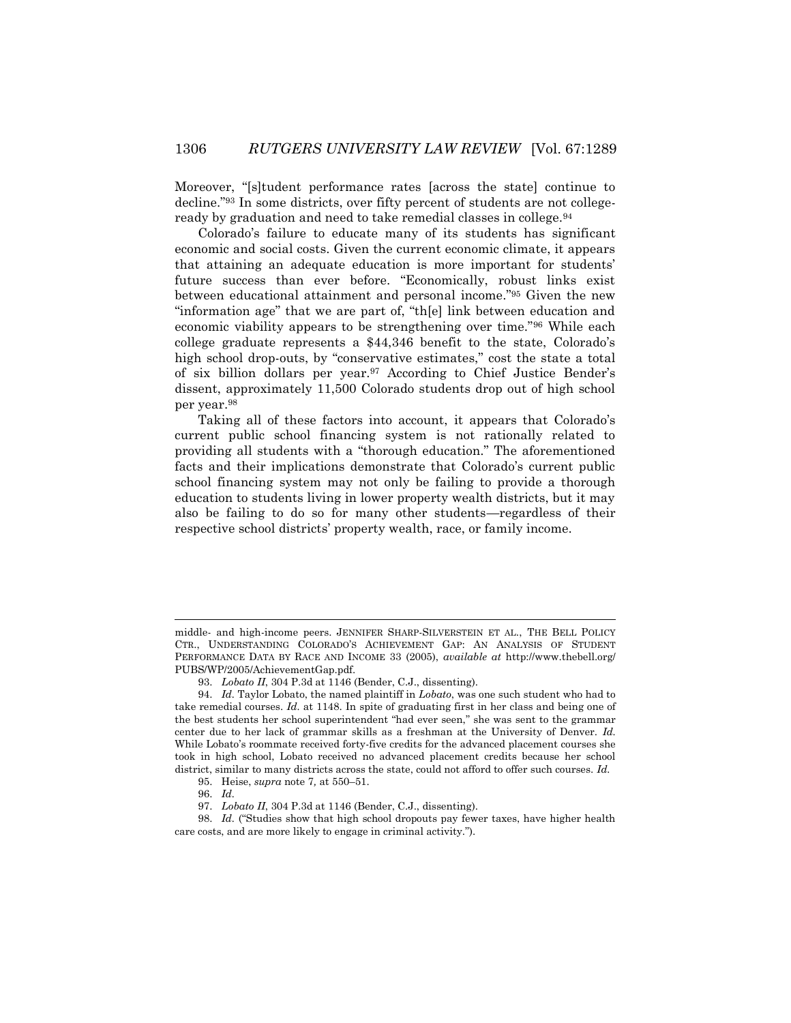Moreover, "[s]tudent performance rates [across the state] continue to decline."<sup>93</sup> In some districts, over fifty percent of students are not collegeready by graduation and need to take remedial classes in college.<sup>94</sup>

Colorado's failure to educate many of its students has significant economic and social costs. Given the current economic climate, it appears that attaining an adequate education is more important for students' future success than ever before. "Economically, robust links exist between educational attainment and personal income."<sup>95</sup> Given the new "information age" that we are part of, "th[e] link between education and economic viability appears to be strengthening over time."<sup>96</sup> While each college graduate represents a \$44,346 benefit to the state, Colorado's high school drop-outs, by "conservative estimates," cost the state a total of six billion dollars per year.<sup>97</sup> According to Chief Justice Bender's dissent, approximately 11,500 Colorado students drop out of high school per year.<sup>98</sup>

Taking all of these factors into account, it appears that Colorado's current public school financing system is not rationally related to providing all students with a "thorough education." The aforementioned facts and their implications demonstrate that Colorado's current public school financing system may not only be failing to provide a thorough education to students living in lower property wealth districts, but it may also be failing to do so for many other students—regardless of their respective school districts' property wealth, race, or family income.

 $\overline{\phantom{a}}$ 

98. *Id.* ("Studies show that high school dropouts pay fewer taxes, have higher health care costs, and are more likely to engage in criminal activity.").

middle- and high-income peers. JENNIFER SHARP-SILVERSTEIN ET AL., THE BELL POLICY CTR., UNDERSTANDING COLORADO'S ACHIEVEMENT GAP: AN ANALYSIS OF STUDENT PERFORMANCE DATA BY RACE AND INCOME 33 (2005), *available at* http://www.thebell.org/ PUBS/WP/2005/AchievementGap.pdf.

<sup>93.</sup> *Lobato II*, 304 P.3d at 1146 (Bender, C.J., dissenting).

<sup>94.</sup> *Id.* Taylor Lobato, the named plaintiff in *Lobato*, was one such student who had to take remedial courses. *Id.* at 1148. In spite of graduating first in her class and being one of the best students her school superintendent "had ever seen," she was sent to the grammar center due to her lack of grammar skills as a freshman at the University of Denver. *Id.* While Lobato's roommate received forty-five credits for the advanced placement courses she took in high school, Lobato received no advanced placement credits because her school district, similar to many districts across the state, could not afford to offer such courses. *Id.*

<sup>95.</sup> Heise, *supra* note 7*,* at 550–51.

<sup>96.</sup> *Id.*

<sup>97.</sup> *Lobato II*, 304 P.3d at 1146 (Bender, C.J., dissenting).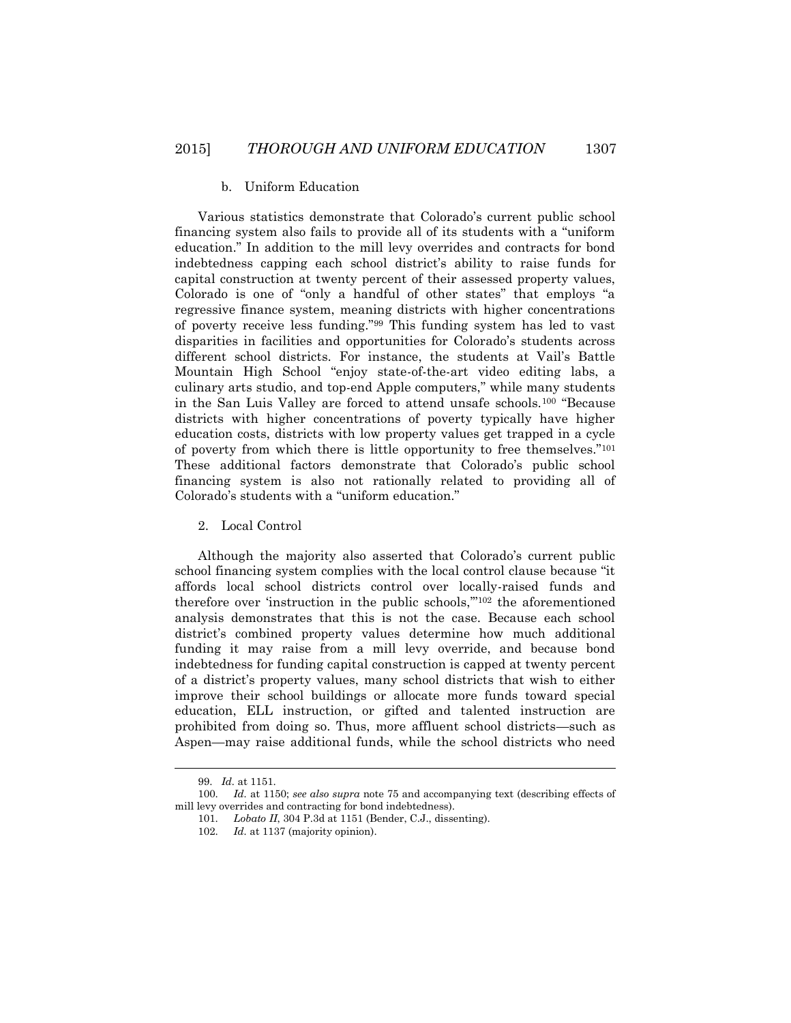#### b. Uniform Education

Various statistics demonstrate that Colorado's current public school financing system also fails to provide all of its students with a "uniform education." In addition to the mill levy overrides and contracts for bond indebtedness capping each school district's ability to raise funds for capital construction at twenty percent of their assessed property values, Colorado is one of "only a handful of other states" that employs "a regressive finance system, meaning districts with higher concentrations of poverty receive less funding."<sup>99</sup> This funding system has led to vast disparities in facilities and opportunities for Colorado's students across different school districts. For instance, the students at Vail's Battle Mountain High School "enjoy state-of-the-art video editing labs, a culinary arts studio, and top-end Apple computers," while many students in the San Luis Valley are forced to attend unsafe schools.<sup>100</sup> "Because districts with higher concentrations of poverty typically have higher education costs, districts with low property values get trapped in a cycle of poverty from which there is little opportunity to free themselves."<sup>101</sup> These additional factors demonstrate that Colorado's public school financing system is also not rationally related to providing all of Colorado's students with a "uniform education."

# 2. Local Control

Although the majority also asserted that Colorado's current public school financing system complies with the local control clause because "it affords local school districts control over locally-raised funds and therefore over 'instruction in the public schools,'"<sup>102</sup> the aforementioned analysis demonstrates that this is not the case. Because each school district's combined property values determine how much additional funding it may raise from a mill levy override, and because bond indebtedness for funding capital construction is capped at twenty percent of a district's property values, many school districts that wish to either improve their school buildings or allocate more funds toward special education, ELL instruction, or gifted and talented instruction are prohibited from doing so. Thus, more affluent school districts—such as Aspen—may raise additional funds, while the school districts who need

<sup>99.</sup> *Id.* at 1151.

<sup>100.</sup> *Id.* at 1150; *see also supra* note 75 and accompanying text (describing effects of mill levy overrides and contracting for bond indebtedness).

<sup>101.</sup> *Lobato II*, 304 P.3d at 1151 (Bender, C.J., dissenting).

<sup>102.</sup> *Id.* at 1137 (majority opinion).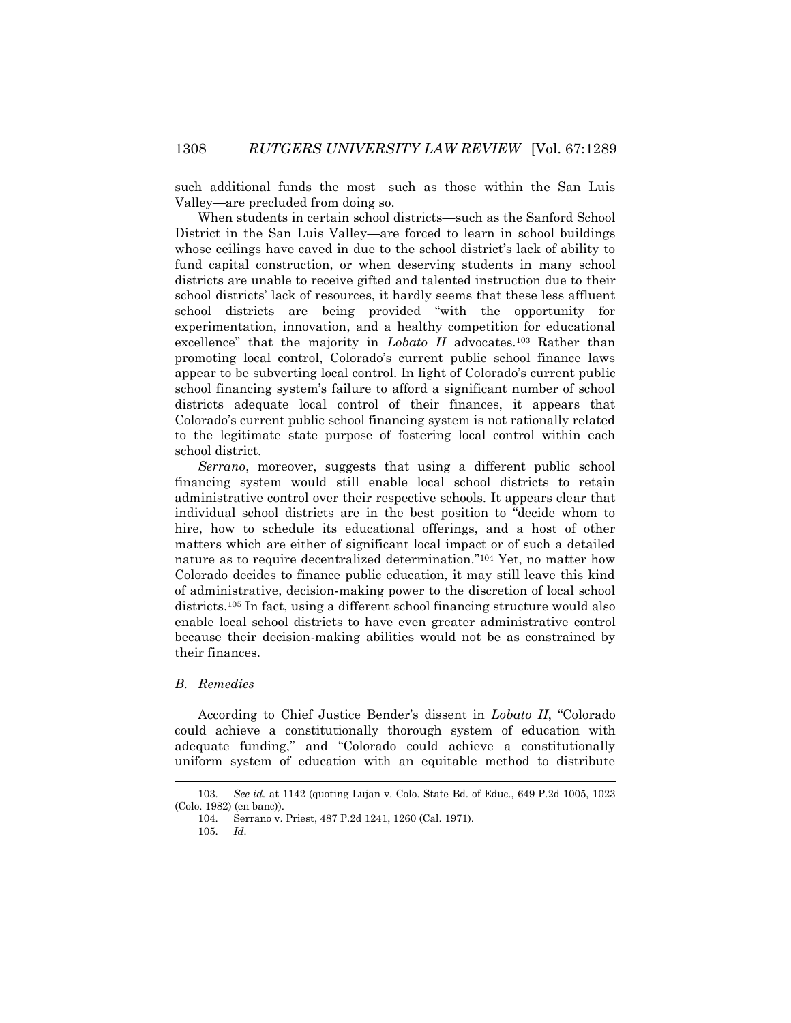such additional funds the most—such as those within the San Luis Valley—are precluded from doing so.

When students in certain school districts—such as the Sanford School District in the San Luis Valley—are forced to learn in school buildings whose ceilings have caved in due to the school district's lack of ability to fund capital construction, or when deserving students in many school districts are unable to receive gifted and talented instruction due to their school districts' lack of resources, it hardly seems that these less affluent school districts are being provided "with the opportunity for experimentation, innovation, and a healthy competition for educational excellence" that the majority in *Lobato II* advocates.<sup>103</sup> Rather than promoting local control, Colorado's current public school finance laws appear to be subverting local control. In light of Colorado's current public school financing system's failure to afford a significant number of school districts adequate local control of their finances, it appears that Colorado's current public school financing system is not rationally related to the legitimate state purpose of fostering local control within each school district.

*Serrano*, moreover, suggests that using a different public school financing system would still enable local school districts to retain administrative control over their respective schools. It appears clear that individual school districts are in the best position to "decide whom to hire, how to schedule its educational offerings, and a host of other matters which are either of significant local impact or of such a detailed nature as to require decentralized determination."<sup>104</sup> Yet, no matter how Colorado decides to finance public education, it may still leave this kind of administrative, decision-making power to the discretion of local school districts.<sup>105</sup> In fact, using a different school financing structure would also enable local school districts to have even greater administrative control because their decision-making abilities would not be as constrained by their finances.

#### *B. Remedies*

According to Chief Justice Bender's dissent in *Lobato II*, "Colorado could achieve a constitutionally thorough system of education with adequate funding," and "Colorado could achieve a constitutionally uniform system of education with an equitable method to distribute

<sup>103.</sup> *See id.* at 1142 (quoting Lujan v. Colo. State Bd. of Educ., 649 P.2d 1005, 1023 (Colo. 1982) (en banc)).

<sup>104.</sup> Serrano v. Priest, 487 P.2d 1241, 1260 (Cal. 1971).

<sup>105.</sup> *Id.*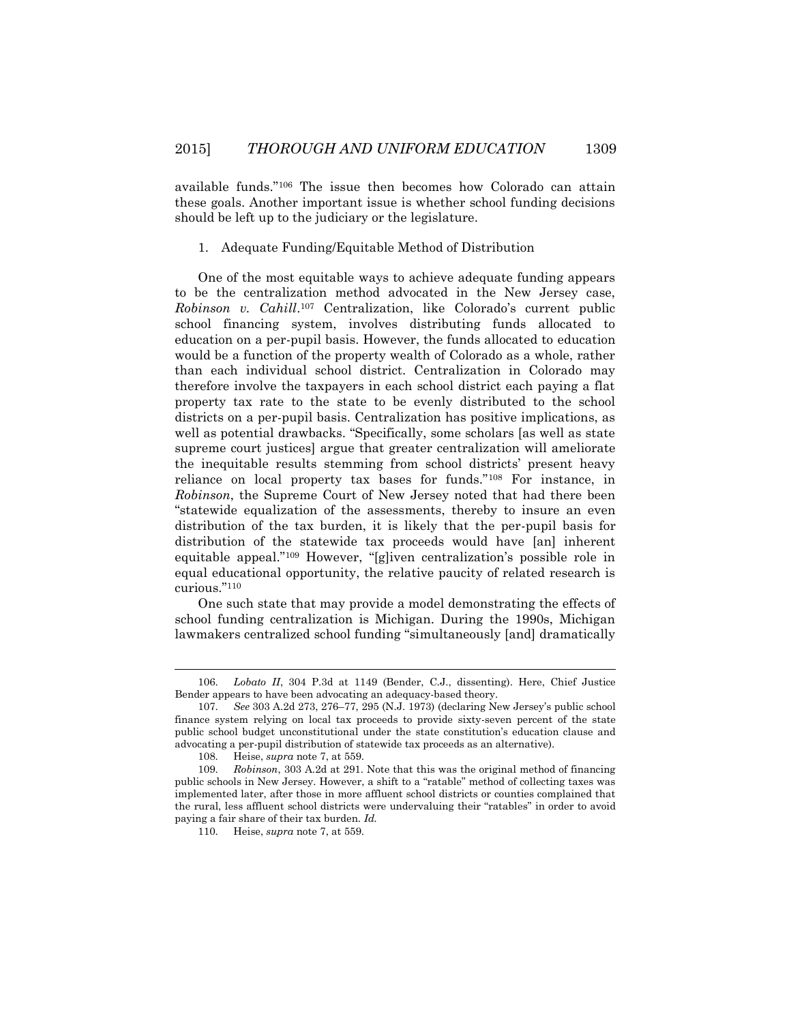available funds."<sup>106</sup> The issue then becomes how Colorado can attain these goals. Another important issue is whether school funding decisions should be left up to the judiciary or the legislature.

#### 1. Adequate Funding/Equitable Method of Distribution

One of the most equitable ways to achieve adequate funding appears to be the centralization method advocated in the New Jersey case, *Robinson v. Cahill*. <sup>107</sup> Centralization, like Colorado's current public school financing system, involves distributing funds allocated to education on a per-pupil basis. However, the funds allocated to education would be a function of the property wealth of Colorado as a whole, rather than each individual school district. Centralization in Colorado may therefore involve the taxpayers in each school district each paying a flat property tax rate to the state to be evenly distributed to the school districts on a per-pupil basis. Centralization has positive implications, as well as potential drawbacks. "Specifically, some scholars [as well as state supreme court justices] argue that greater centralization will ameliorate the inequitable results stemming from school districts' present heavy reliance on local property tax bases for funds."<sup>108</sup> For instance, in *Robinson*, the Supreme Court of New Jersey noted that had there been "statewide equalization of the assessments, thereby to insure an even distribution of the tax burden, it is likely that the per-pupil basis for distribution of the statewide tax proceeds would have [an] inherent equitable appeal."<sup>109</sup> However, "[g]iven centralization's possible role in equal educational opportunity, the relative paucity of related research is curious."<sup>110</sup>

One such state that may provide a model demonstrating the effects of school funding centralization is Michigan. During the 1990s, Michigan lawmakers centralized school funding "simultaneously [and] dramatically

l

<sup>106.</sup> *Lobato II*, 304 P.3d at 1149 (Bender, C.J., dissenting). Here, Chief Justice Bender appears to have been advocating an adequacy-based theory.

<sup>107.</sup> *See* 303 A.2d 273, 276–77, 295 (N.J. 1973) (declaring New Jersey's public school finance system relying on local tax proceeds to provide sixty-seven percent of the state public school budget unconstitutional under the state constitution's education clause and advocating a per-pupil distribution of statewide tax proceeds as an alternative).

<sup>108.</sup> Heise, *supra* note 7, at 559.

<sup>109.</sup> *Robinson*, 303 A.2d at 291. Note that this was the original method of financing public schools in New Jersey. However, a shift to a "ratable" method of collecting taxes was implemented later, after those in more affluent school districts or counties complained that the rural, less affluent school districts were undervaluing their "ratables" in order to avoid paying a fair share of their tax burden. *Id.*

<sup>110.</sup> Heise, *supra* note 7, at 559.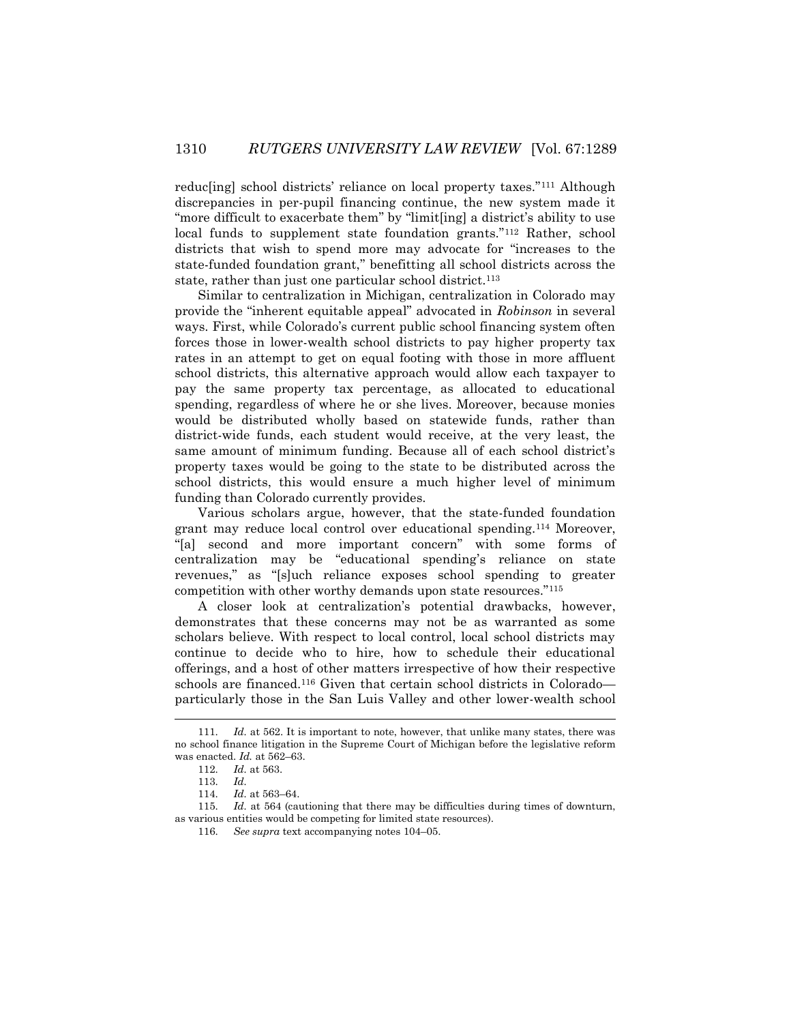reducling] school districts' reliance on local property taxes."<sup>111</sup> Although discrepancies in per-pupil financing continue, the new system made it "more difficult to exacerbate them" by "limit[ing] a district's ability to use local funds to supplement state foundation grants."<sup>112</sup> Rather, school districts that wish to spend more may advocate for "increases to the state-funded foundation grant," benefitting all school districts across the state, rather than just one particular school district.<sup>113</sup>

Similar to centralization in Michigan, centralization in Colorado may provide the "inherent equitable appeal" advocated in *Robinson* in several ways. First, while Colorado's current public school financing system often forces those in lower-wealth school districts to pay higher property tax rates in an attempt to get on equal footing with those in more affluent school districts, this alternative approach would allow each taxpayer to pay the same property tax percentage, as allocated to educational spending, regardless of where he or she lives. Moreover, because monies would be distributed wholly based on statewide funds, rather than district-wide funds, each student would receive, at the very least, the same amount of minimum funding. Because all of each school district's property taxes would be going to the state to be distributed across the school districts, this would ensure a much higher level of minimum funding than Colorado currently provides.

Various scholars argue, however, that the state-funded foundation grant may reduce local control over educational spending.<sup>114</sup> Moreover, "[a] second and more important concern" with some forms of centralization may be "educational spending's reliance on state revenues," as "[s]uch reliance exposes school spending to greater competition with other worthy demands upon state resources."<sup>115</sup>

A closer look at centralization's potential drawbacks, however, demonstrates that these concerns may not be as warranted as some scholars believe. With respect to local control, local school districts may continue to decide who to hire, how to schedule their educational offerings, and a host of other matters irrespective of how their respective schools are financed.<sup>116</sup> Given that certain school districts in Colorado particularly those in the San Luis Valley and other lower-wealth school

 $\overline{a}$ 

<sup>111.</sup> *Id.* at 562. It is important to note, however, that unlike many states, there was no school finance litigation in the Supreme Court of Michigan before the legislative reform was enacted. *Id.* at 562–63.

<sup>112.</sup> *Id.* at 563.

<sup>113.</sup> *Id.*

<sup>114.</sup> *Id.* at 563–64.

<sup>115.</sup> *Id.* at 564 (cautioning that there may be difficulties during times of downturn, as various entities would be competing for limited state resources).

<sup>116.</sup> *See supra* text accompanying notes 104–05.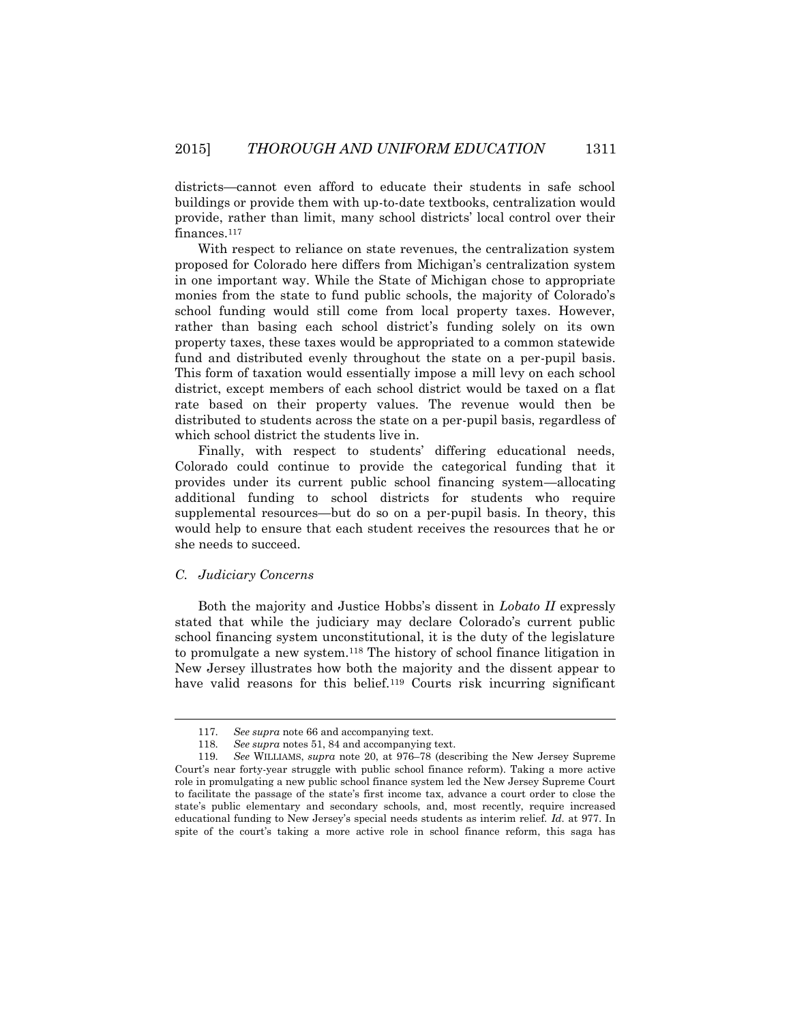districts—cannot even afford to educate their students in safe school buildings or provide them with up-to-date textbooks, centralization would provide, rather than limit, many school districts' local control over their finances.<sup>117</sup>

With respect to reliance on state revenues, the centralization system proposed for Colorado here differs from Michigan's centralization system in one important way. While the State of Michigan chose to appropriate monies from the state to fund public schools, the majority of Colorado's school funding would still come from local property taxes. However, rather than basing each school district's funding solely on its own property taxes, these taxes would be appropriated to a common statewide fund and distributed evenly throughout the state on a per-pupil basis. This form of taxation would essentially impose a mill levy on each school district, except members of each school district would be taxed on a flat rate based on their property values. The revenue would then be distributed to students across the state on a per-pupil basis, regardless of which school district the students live in.

Finally, with respect to students' differing educational needs, Colorado could continue to provide the categorical funding that it provides under its current public school financing system—allocating additional funding to school districts for students who require supplemental resources—but do so on a per-pupil basis. In theory, this would help to ensure that each student receives the resources that he or she needs to succeed.

## *C. Judiciary Concerns*

 $\overline{a}$ 

Both the majority and Justice Hobbs's dissent in *Lobato II* expressly stated that while the judiciary may declare Colorado's current public school financing system unconstitutional, it is the duty of the legislature to promulgate a new system.<sup>118</sup> The history of school finance litigation in New Jersey illustrates how both the majority and the dissent appear to have valid reasons for this belief.<sup>119</sup> Courts risk incurring significant

<sup>117.</sup> *See supra* note 66 and accompanying text.

<sup>118.</sup> *See supra* notes 51, 84 and accompanying text.

<sup>119.</sup> *See* WILLIAMS, *supra* note 20, at 976–78 (describing the New Jersey Supreme Court's near forty-year struggle with public school finance reform). Taking a more active role in promulgating a new public school finance system led the New Jersey Supreme Court to facilitate the passage of the state's first income tax, advance a court order to close the state's public elementary and secondary schools, and, most recently, require increased educational funding to New Jersey's special needs students as interim relief. *Id.* at 977. In spite of the court's taking a more active role in school finance reform, this saga has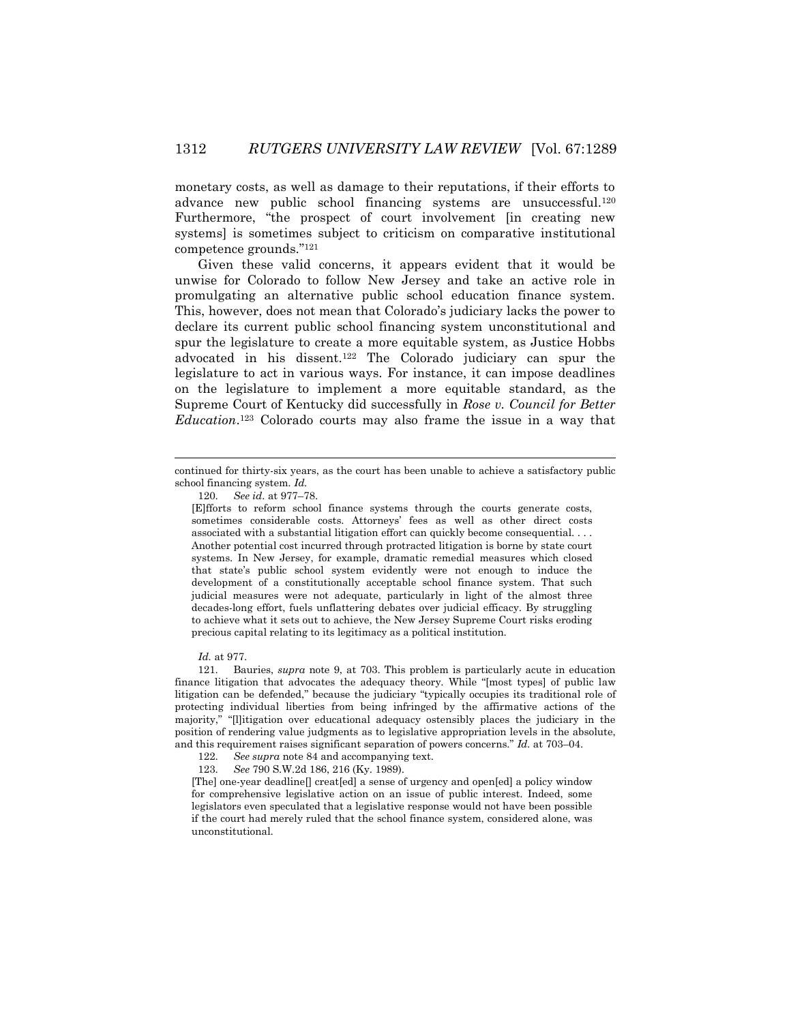monetary costs, as well as damage to their reputations, if their efforts to advance new public school financing systems are unsuccessful.<sup>120</sup> Furthermore, "the prospect of court involvement [in creating new systems] is sometimes subject to criticism on comparative institutional competence grounds." 121

Given these valid concerns, it appears evident that it would be unwise for Colorado to follow New Jersey and take an active role in promulgating an alternative public school education finance system. This, however, does not mean that Colorado's judiciary lacks the power to declare its current public school financing system unconstitutional and spur the legislature to create a more equitable system, as Justice Hobbs advocated in his dissent.<sup>122</sup> The Colorado judiciary can spur the legislature to act in various ways. For instance, it can impose deadlines on the legislature to implement a more equitable standard, as the Supreme Court of Kentucky did successfully in *Rose v. Council for Better Education*. <sup>123</sup> Colorado courts may also frame the issue in a way that

*Id.* at 977.

l

121. Bauries, *supra* note 9, at 703. This problem is particularly acute in education finance litigation that advocates the adequacy theory. While "[most types] of public law litigation can be defended," because the judiciary "typically occupies its traditional role of protecting individual liberties from being infringed by the affirmative actions of the majority," "[l]itigation over educational adequacy ostensibly places the judiciary in the position of rendering value judgments as to legislative appropriation levels in the absolute, and this requirement raises significant separation of powers concerns." *Id.* at 703–04.

122. *See supra* note 84 and accompanying text.

123. *See* 790 S.W.2d 186, 216 (Ky. 1989).

[The] one-year deadline[] creat[ed] a sense of urgency and open[ed] a policy window for comprehensive legislative action on an issue of public interest. Indeed, some legislators even speculated that a legislative response would not have been possible if the court had merely ruled that the school finance system, considered alone, was unconstitutional.

continued for thirty-six years, as the court has been unable to achieve a satisfactory public school financing system. *Id.*

<sup>120.</sup> *See id.* at 977–78.

<sup>[</sup>E]fforts to reform school finance systems through the courts generate costs, sometimes considerable costs. Attorneys' fees as well as other direct costs associated with a substantial litigation effort can quickly become consequential. . . . Another potential cost incurred through protracted litigation is borne by state court systems. In New Jersey, for example, dramatic remedial measures which closed that state's public school system evidently were not enough to induce the development of a constitutionally acceptable school finance system. That such judicial measures were not adequate, particularly in light of the almost three decades-long effort, fuels unflattering debates over judicial efficacy. By struggling to achieve what it sets out to achieve, the New Jersey Supreme Court risks eroding precious capital relating to its legitimacy as a political institution.